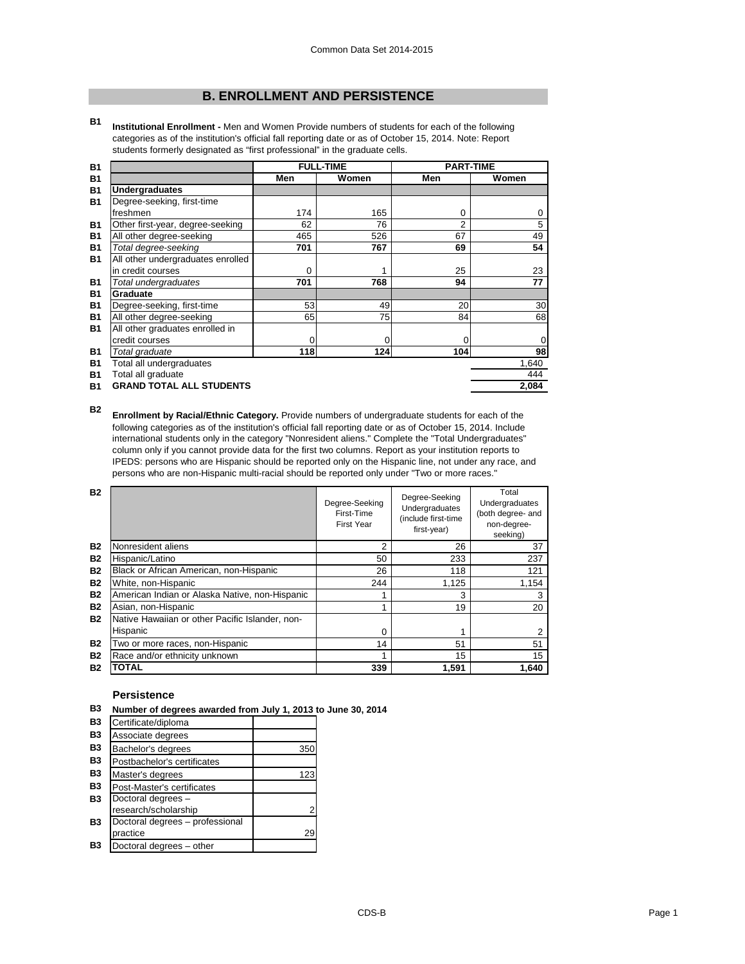# **B. ENROLLMENT AND PERSISTENCE**

**B1 Institutional Enrollment -** Men and Women Provide numbers of students for each of the following categories as of the institution's official fall reporting date or as of October 15, 2014. Note: Report students formerly designated as "first professional" in the graduate cells.

| <b>B1</b> |                                   |             | <b>FULL-TIME</b> | <b>PART-TIME</b> |       |
|-----------|-----------------------------------|-------------|------------------|------------------|-------|
| <b>B1</b> |                                   | Men         | Women            | Men              | Women |
| <b>B1</b> | <b>Undergraduates</b>             |             |                  |                  |       |
| <b>B1</b> | Degree-seeking, first-time        |             |                  |                  |       |
|           | freshmen                          | 174         | 165              | 0                |       |
| <b>B1</b> | Other first-year, degree-seeking  | 62          | 76               | 2                | 5     |
| <b>B1</b> | All other degree-seeking          | 465         | 526              | 67               | 49    |
| <b>B1</b> | Total degree-seeking              | 701         | 767              | 69               | 54    |
| <b>B1</b> | All other undergraduates enrolled |             |                  |                  |       |
|           | in credit courses                 | 0           |                  | 25               | 23    |
| <b>B1</b> | Total undergraduates              | 701         | 768              | 94               | 77    |
| <b>B1</b> | <b>Graduate</b>                   |             |                  |                  |       |
| <b>B1</b> | Degree-seeking, first-time        | 53          | 49               | 20               | 30    |
| <b>B1</b> | All other degree-seeking          | 65          | 75               | 84               | 68    |
| <b>B1</b> | All other graduates enrolled in   |             |                  |                  |       |
|           | credit courses                    | $\mathbf 0$ | 0                |                  |       |
| <b>B1</b> | Total graduate                    | 118         | 124              | 104              | 98    |
| <b>B1</b> | Total all undergraduates          |             |                  |                  | 1,640 |
| <b>B1</b> | Total all graduate                |             |                  |                  | 444   |
| <b>B1</b> | <b>GRAND TOTAL ALL STUDENTS</b>   |             |                  |                  | 2,084 |

**B2 Enrollment by Racial/Ethnic Category.** Provide numbers of undergraduate students for each of the following categories as of the institution's official fall reporting date or as of October 15, 2014. Include international students only in the category "Nonresident aliens." Complete the "Total Undergraduates" column only if you cannot provide data for the first two columns. Report as your institution reports to IPEDS: persons who are Hispanic should be reported only on the Hispanic line, not under any race, and persons who are non-Hispanic multi-racial should be reported only under "Two or more races."

| <b>B2</b> |                                                 | Degree-Seeking<br>First-Time<br><b>First Year</b> | Degree-Seeking<br>Undergraduates<br>(include first-time<br>first-year) | Total<br>Undergraduates<br>(both degree- and<br>non-degree-<br>seeking) |
|-----------|-------------------------------------------------|---------------------------------------------------|------------------------------------------------------------------------|-------------------------------------------------------------------------|
| <b>B2</b> | Nonresident aliens                              | 2                                                 | 26                                                                     | 37                                                                      |
| <b>B2</b> | Hispanic/Latino                                 | 50                                                | 233                                                                    | 237                                                                     |
| <b>B2</b> | Black or African American, non-Hispanic         | 26                                                | 118                                                                    | 121                                                                     |
| <b>B2</b> | White, non-Hispanic                             | 244                                               | 1,125                                                                  | 1,154                                                                   |
| <b>B2</b> | American Indian or Alaska Native, non-Hispanic  |                                                   | 3                                                                      | 3                                                                       |
| <b>B2</b> | Asian, non-Hispanic                             |                                                   | 19                                                                     | 20                                                                      |
| <b>B2</b> | Native Hawaiian or other Pacific Islander, non- |                                                   |                                                                        |                                                                         |
|           | Hispanic                                        | 0                                                 |                                                                        |                                                                         |
| <b>B2</b> | Two or more races, non-Hispanic                 | 14                                                | 51                                                                     | 51                                                                      |
| <b>B2</b> | Race and/or ethnicity unknown                   |                                                   | 15                                                                     | 15                                                                      |
| <b>B2</b> | <b>TOTAL</b>                                    | 339                                               | 1,591                                                                  | 1,640                                                                   |

#### **Persistence**

|  |  | B3 Number of degrees awarded from July 1, 2013 to June 30, 2014 |  |  |  |  |
|--|--|-----------------------------------------------------------------|--|--|--|--|
|--|--|-----------------------------------------------------------------|--|--|--|--|

| B <sub>3</sub> | Certificate/diploma             |     |
|----------------|---------------------------------|-----|
| <b>B3</b>      | Associate degrees               |     |
| B <sub>3</sub> | Bachelor's degrees              | 350 |
| <b>B3</b>      | Postbachelor's certificates     |     |
| <b>B3</b>      | Master's degrees                | 123 |
| <b>B3</b>      | Post-Master's certificates      |     |
| <b>B3</b>      | Doctoral degrees -              |     |
|                | research/scholarship            | 2   |
| <b>B3</b>      | Doctoral degrees - professional |     |
|                | practice                        | 29  |
| Β3             | Doctoral degrees - other        |     |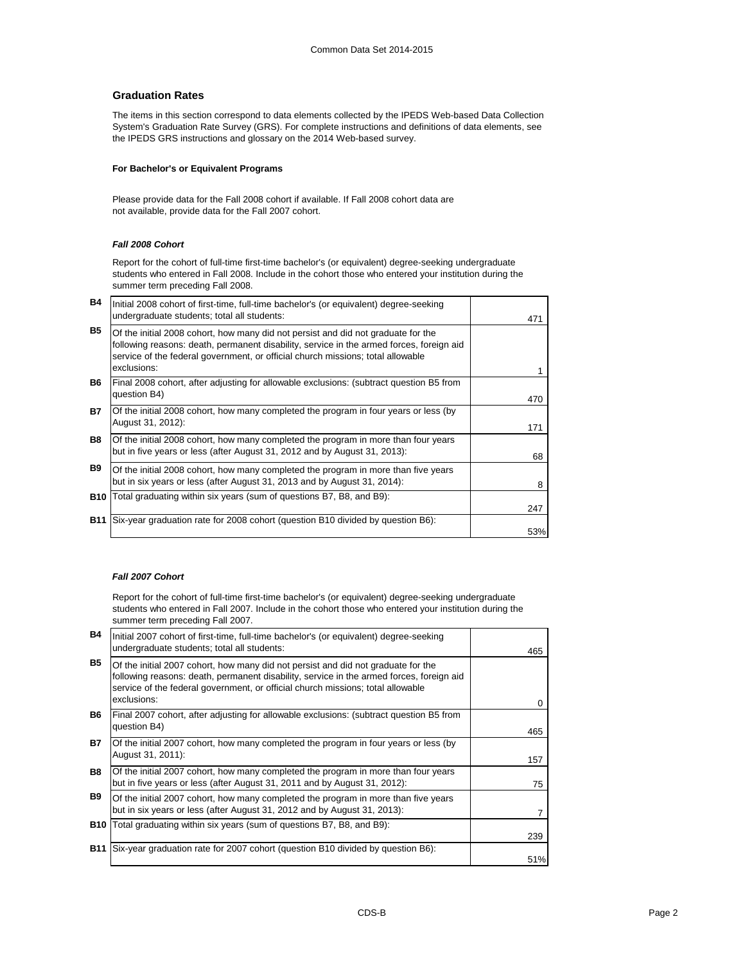## **Graduation Rates**

The items in this section correspond to data elements collected by the IPEDS Web-based Data Collection System's Graduation Rate Survey (GRS). For complete instructions and definitions of data elements, see the IPEDS GRS instructions and glossary on the 2014 Web-based survey.

## **For Bachelor's or Equivalent Programs**

Please provide data for the Fall 2008 cohort if available. If Fall 2008 cohort data are not available, provide data for the Fall 2007 cohort.

## *Fall 2008 Cohort*

Report for the cohort of full-time first-time bachelor's (or equivalent) degree-seeking undergraduate students who entered in Fall 2008. Include in the cohort those who entered your institution during the summer term preceding Fall 2008.

| B4         | Initial 2008 cohort of first-time, full-time bachelor's (or equivalent) degree-seeking                                                                                                                                                                                          |     |
|------------|---------------------------------------------------------------------------------------------------------------------------------------------------------------------------------------------------------------------------------------------------------------------------------|-----|
|            | undergraduate students; total all students:                                                                                                                                                                                                                                     | 471 |
| <b>B5</b>  | Of the initial 2008 cohort, how many did not persist and did not graduate for the<br>following reasons: death, permanent disability, service in the armed forces, foreign aid<br>service of the federal government, or official church missions; total allowable<br>exclusions: |     |
| B6         | Final 2008 cohort, after adjusting for allowable exclusions: (subtract question B5 from<br>question B4)                                                                                                                                                                         | 470 |
| <b>B7</b>  | Of the initial 2008 cohort, how many completed the program in four years or less (by<br>August 31, 2012):                                                                                                                                                                       | 171 |
| <b>B8</b>  | Of the initial 2008 cohort, how many completed the program in more than four years<br>but in five years or less (after August 31, 2012 and by August 31, 2013):                                                                                                                 | 68  |
| <b>B9</b>  | Of the initial 2008 cohort, how many completed the program in more than five years<br>but in six years or less (after August 31, 2013 and by August 31, 2014):                                                                                                                  | 8   |
| <b>B10</b> | Total graduating within six years (sum of questions B7, B8, and B9):                                                                                                                                                                                                            | 247 |
| <b>B11</b> | Six-year graduation rate for 2008 cohort (question B10 divided by question B6):                                                                                                                                                                                                 | 53% |

## *Fall 2007 Cohort*

Report for the cohort of full-time first-time bachelor's (or equivalent) degree-seeking undergraduate students who entered in Fall 2007. Include in the cohort those who entered your institution during the summer term preceding Fall 2007.

| <b>B4</b>  | Initial 2007 cohort of first-time, full-time bachelor's (or equivalent) degree-seeking                                                                                                                                                                                          |     |
|------------|---------------------------------------------------------------------------------------------------------------------------------------------------------------------------------------------------------------------------------------------------------------------------------|-----|
|            | undergraduate students; total all students:                                                                                                                                                                                                                                     | 465 |
| <b>B5</b>  | Of the initial 2007 cohort, how many did not persist and did not graduate for the<br>following reasons: death, permanent disability, service in the armed forces, foreign aid<br>service of the federal government, or official church missions; total allowable<br>exclusions: | 0   |
| <b>B6</b>  | Final 2007 cohort, after adjusting for allowable exclusions: (subtract question B5 from<br>question B4)                                                                                                                                                                         | 465 |
| <b>B7</b>  | Of the initial 2007 cohort, how many completed the program in four years or less (by<br>August 31, 2011):                                                                                                                                                                       | 157 |
| <b>B8</b>  | Of the initial 2007 cohort, how many completed the program in more than four years<br>but in five years or less (after August 31, 2011 and by August 31, 2012):                                                                                                                 | 75  |
| <b>B</b> 9 | Of the initial 2007 cohort, how many completed the program in more than five years<br>but in six years or less (after August 31, 2012 and by August 31, 2013):                                                                                                                  |     |
| <b>B10</b> | Total graduating within six years (sum of questions B7, B8, and B9):                                                                                                                                                                                                            | 239 |
| <b>B11</b> | Six-year graduation rate for 2007 cohort (question B10 divided by question B6):                                                                                                                                                                                                 | 51% |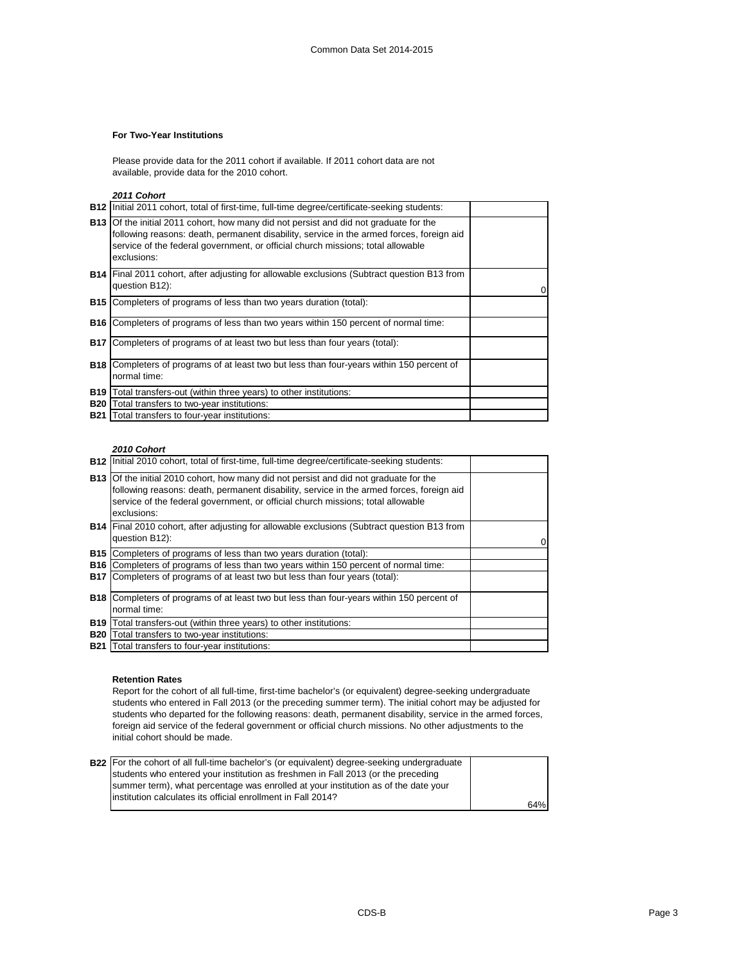## **For Two-Year Institutions**

Please provide data for the 2011 cohort if available. If 2011 cohort data are not available, provide data for the 2010 cohort.

*2011 Cohort*

|            | B12   Initial 2011 cohort, total of first-time, full-time degree/certificate-seeking students:                                                                                                                                                                                             |  |
|------------|--------------------------------------------------------------------------------------------------------------------------------------------------------------------------------------------------------------------------------------------------------------------------------------------|--|
|            | <b>B13</b> Of the initial 2011 cohort, how many did not persist and did not graduate for the<br>following reasons: death, permanent disability, service in the armed forces, foreign aid<br>service of the federal government, or official church missions; total allowable<br>exclusions: |  |
|            | <b>B14</b> Final 2011 cohort, after adjusting for allowable exclusions (Subtract question B13 from<br>question B12):                                                                                                                                                                       |  |
| B15 I      | Completers of programs of less than two years duration (total):                                                                                                                                                                                                                            |  |
| <b>B16</b> | Completers of programs of less than two years within 150 percent of normal time:                                                                                                                                                                                                           |  |
| <b>B17</b> | Completers of programs of at least two but less than four years (total):                                                                                                                                                                                                                   |  |
| B18 I      | Completers of programs of at least two but less than four-years within 150 percent of<br>normal time:                                                                                                                                                                                      |  |
| <b>B19</b> | Total transfers-out (within three years) to other institutions:                                                                                                                                                                                                                            |  |
| <b>B20</b> | Total transfers to two-year institutions:                                                                                                                                                                                                                                                  |  |
|            | <b>B21</b> Total transfers to four-year institutions:                                                                                                                                                                                                                                      |  |

#### *2010 Cohort*

|            | <b>B12</b> Initial 2010 cohort, total of first-time, full-time degree/certificate-seeking students:                                                                                                                                                                                        |  |
|------------|--------------------------------------------------------------------------------------------------------------------------------------------------------------------------------------------------------------------------------------------------------------------------------------------|--|
|            | <b>B13</b> Of the initial 2010 cohort, how many did not persist and did not graduate for the<br>following reasons: death, permanent disability, service in the armed forces, foreign aid<br>service of the federal government, or official church missions; total allowable<br>exclusions: |  |
|            | <b>B14</b> Final 2010 cohort, after adjusting for allowable exclusions (Subtract question B13 from<br>question B12):                                                                                                                                                                       |  |
|            | <b>B15</b> Completers of programs of less than two years duration (total):                                                                                                                                                                                                                 |  |
|            | <b>B16</b> Completers of programs of less than two years within 150 percent of normal time:                                                                                                                                                                                                |  |
|            | <b>B17</b> Completers of programs of at least two but less than four years (total):                                                                                                                                                                                                        |  |
|            | <b>B18</b> Completers of programs of at least two but less than four-years within 150 percent of<br>normal time:                                                                                                                                                                           |  |
|            | B19   Total transfers-out (within three years) to other institutions:                                                                                                                                                                                                                      |  |
| <b>B20</b> | Total transfers to two-year institutions:                                                                                                                                                                                                                                                  |  |
|            | <b>B21</b> Total transfers to four-year institutions:                                                                                                                                                                                                                                      |  |

#### **Retention Rates**

Report for the cohort of all full-time, first-time bachelor's (or equivalent) degree-seeking undergraduate students who entered in Fall 2013 (or the preceding summer term). The initial cohort may be adjusted for students who departed for the following reasons: death, permanent disability, service in the armed forces, foreign aid service of the federal government or official church missions. No other adjustments to the initial cohort should be made.

| <b>B22</b> For the cohort of all full-time bachelor's (or equivalent) degree-seeking undergraduate |     |
|----------------------------------------------------------------------------------------------------|-----|
| students who entered your institution as freshmen in Fall 2013 (or the preceding                   |     |
| summer term), what percentage was enrolled at your institution as of the date your                 |     |
| linstitution calculates its official enrollment in Fall 2014?                                      |     |
|                                                                                                    | 64% |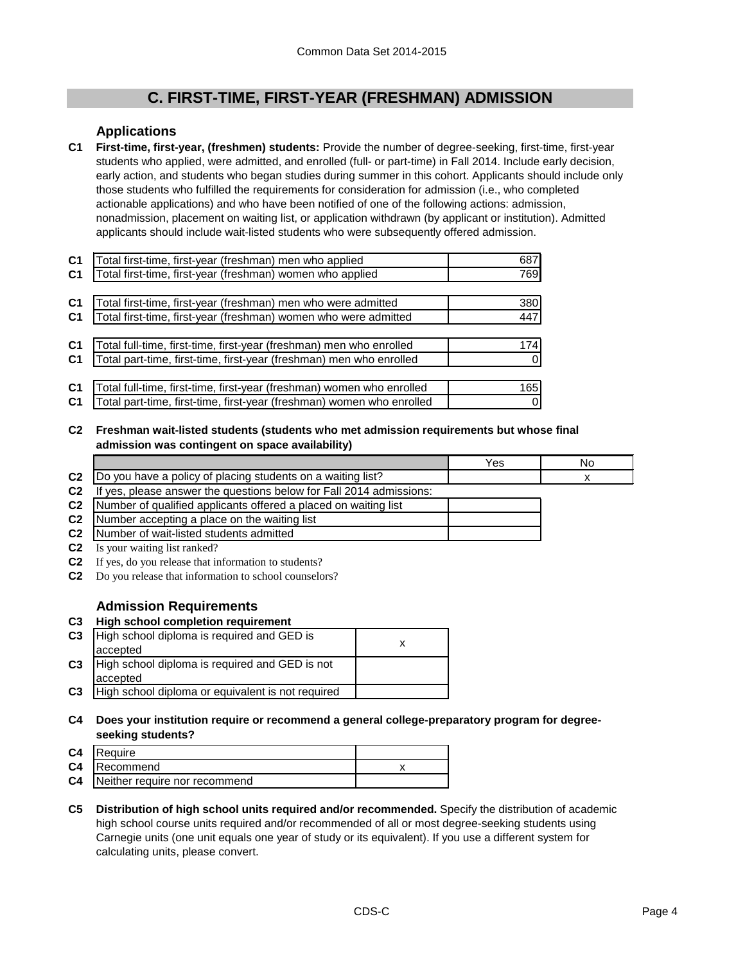# **C. FIRST-TIME, FIRST-YEAR (FRESHMAN) ADMISSION**

## **Applications**

**C1 First-time, first-year, (freshmen) students:** Provide the number of degree-seeking, first-time, first-year students who applied, were admitted, and enrolled (full- or part-time) in Fall 2014. Include early decision, early action, and students who began studies during summer in this cohort. Applicants should include only those students who fulfilled the requirements for consideration for admission (i.e., who completed actionable applications) and who have been notified of one of the following actions: admission, nonadmission, placement on waiting list, or application withdrawn (by applicant or institution). Admitted applicants should include wait-listed students who were subsequently offered admission.

| C <sub>1</sub> | Total first-time, first-year (freshman) men who applied               | 687 |
|----------------|-----------------------------------------------------------------------|-----|
| C <sub>1</sub> | Total first-time, first-year (freshman) women who applied             | 769 |
|                |                                                                       |     |
| C <sub>1</sub> | Total first-time, first-year (freshman) men who were admitted         | 380 |
| C <sub>1</sub> | Total first-time, first-year (freshman) women who were admitted       | 447 |
|                |                                                                       |     |
| C <sub>1</sub> | Total full-time, first-time, first-year (freshman) men who enrolled   | 174 |
| C <sub>1</sub> | Total part-time, first-time, first-year (freshman) men who enrolled   |     |
|                |                                                                       |     |
| C <sub>1</sub> | Total full-time, first-time, first-year (freshman) women who enrolled | 165 |
| C <sub>1</sub> | Total part-time, first-time, first-year (freshman) women who enrolled |     |

**C2 Freshman wait-listed students (students who met admission requirements but whose final admission was contingent on space availability)**

|                |                                                                     | Yes | No |
|----------------|---------------------------------------------------------------------|-----|----|
| C <sub>2</sub> | [Do you have a policy of placing students on a waiting list?        |     |    |
| C <sub>2</sub> | If yes, please answer the questions below for Fall 2014 admissions: |     |    |
| C <sub>2</sub> | Number of qualified applicants offered a placed on waiting list     |     |    |
| C <sub>2</sub> | Number accepting a place on the waiting list                        |     |    |
| C <sub>2</sub> | Number of wait-listed students admitted                             |     |    |

- **C2** Is your waiting list ranked?
- **C2** If yes, do you release that information to students?
- **C2** Do you release that information to school counselors?

## **Admission Requirements**

**C3 High school completion requirement**

| C <sub>3</sub> | High school diploma is required and GED is<br>accepted     |  |
|----------------|------------------------------------------------------------|--|
| C <sub>3</sub> | High school diploma is required and GED is not<br>accepted |  |
| C <sub>3</sub> | High school diploma or equivalent is not required          |  |

**C4 Does your institution require or recommend a general college-preparatory program for degreeseeking students?**

| C <sub>4</sub> | <b>IReauire</b>               |  |
|----------------|-------------------------------|--|
|                | C4 Recommend                  |  |
| C <sub>4</sub> | Neither require nor recommend |  |

**C5 Distribution of high school units required and/or recommended.** Specify the distribution of academic high school course units required and/or recommended of all or most degree-seeking students using Carnegie units (one unit equals one year of study or its equivalent). If you use a different system for calculating units, please convert.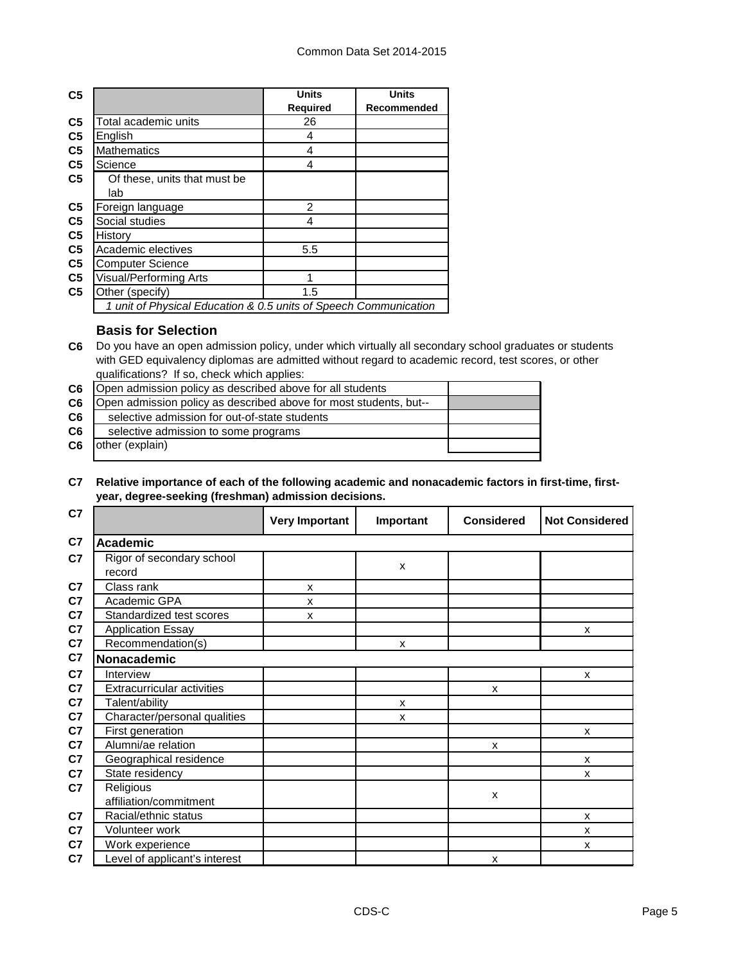| C <sub>5</sub> |                                                                  | <b>Units</b>    | <b>Units</b> |
|----------------|------------------------------------------------------------------|-----------------|--------------|
|                |                                                                  | <b>Required</b> | Recommended  |
| C <sub>5</sub> | Total academic units                                             | 26              |              |
| C <sub>5</sub> | English                                                          | 4               |              |
| C <sub>5</sub> | <b>Mathematics</b>                                               | 4               |              |
| C <sub>5</sub> | Science                                                          | 4               |              |
| C <sub>5</sub> | Of these, units that must be                                     |                 |              |
|                | lab                                                              |                 |              |
| C <sub>5</sub> | Foreign language                                                 | 2               |              |
| C <sub>5</sub> | Social studies                                                   | 4               |              |
| C <sub>5</sub> | History                                                          |                 |              |
| C <sub>5</sub> | Academic electives                                               | 5.5             |              |
| C <sub>5</sub> | <b>Computer Science</b>                                          |                 |              |
| C <sub>5</sub> | <b>Visual/Performing Arts</b>                                    |                 |              |
| C <sub>5</sub> | Other (specify)                                                  | 1.5             |              |
|                | 1 unit of Physical Education & 0.5 units of Speech Communication |                 |              |

## **Basis for Selection**

**C6** Do you have an open admission policy, under which virtually all secondary school graduates or students with GED equivalency diplomas are admitted without regard to academic record, test scores, or other qualifications? If so, check which applies:

| C6 | Open admission policy as described above for all students         |  |
|----|-------------------------------------------------------------------|--|
| C6 | Open admission policy as described above for most students, but-- |  |
| C6 | selective admission for out-of-state students                     |  |
| C6 | selective admission to some programs                              |  |
| C6 | other (explain)                                                   |  |
|    |                                                                   |  |

#### **C7 Relative importance of each of the following academic and nonacademic factors in first-time, firstyear, degree-seeking (freshman) admission decisions.**

| C7             |                                     | <b>Very Important</b> | Important    | <b>Considered</b> | <b>Not Considered</b>     |
|----------------|-------------------------------------|-----------------------|--------------|-------------------|---------------------------|
| C7             | <b>Academic</b>                     |                       |              |                   |                           |
| C7             | Rigor of secondary school<br>record |                       | X            |                   |                           |
| C <sub>7</sub> | Class rank                          | X                     |              |                   |                           |
| C7             | Academic GPA                        | X                     |              |                   |                           |
| C7             | Standardized test scores            | X                     |              |                   |                           |
| C7             | <b>Application Essay</b>            |                       |              |                   | X                         |
| C7             | Recommendation(s)                   |                       | X            |                   |                           |
| C7             | Nonacademic                         |                       |              |                   |                           |
| C7             | Interview                           |                       |              |                   | X                         |
| C7             | <b>Extracurricular activities</b>   |                       |              | X                 |                           |
| C7             | Talent/ability                      |                       | X            |                   |                           |
| C <sub>7</sub> | Character/personal qualities        |                       | $\mathsf{x}$ |                   |                           |
| C <sub>7</sub> | First generation                    |                       |              |                   | $\boldsymbol{\mathsf{x}}$ |
| C7             | Alumni/ae relation                  |                       |              | X                 |                           |
| C7             | Geographical residence              |                       |              |                   | X                         |
| C7             | State residency                     |                       |              |                   | X                         |
| C <sub>7</sub> | Religious                           |                       |              | X                 |                           |
|                | affiliation/commitment              |                       |              |                   |                           |
| C <sub>7</sub> | Racial/ethnic status                |                       |              |                   | X                         |
| C <sub>7</sub> | Volunteer work                      |                       |              |                   | X                         |
| C <sub>7</sub> | Work experience                     |                       |              |                   | X                         |
| C7             | Level of applicant's interest       |                       |              | X                 |                           |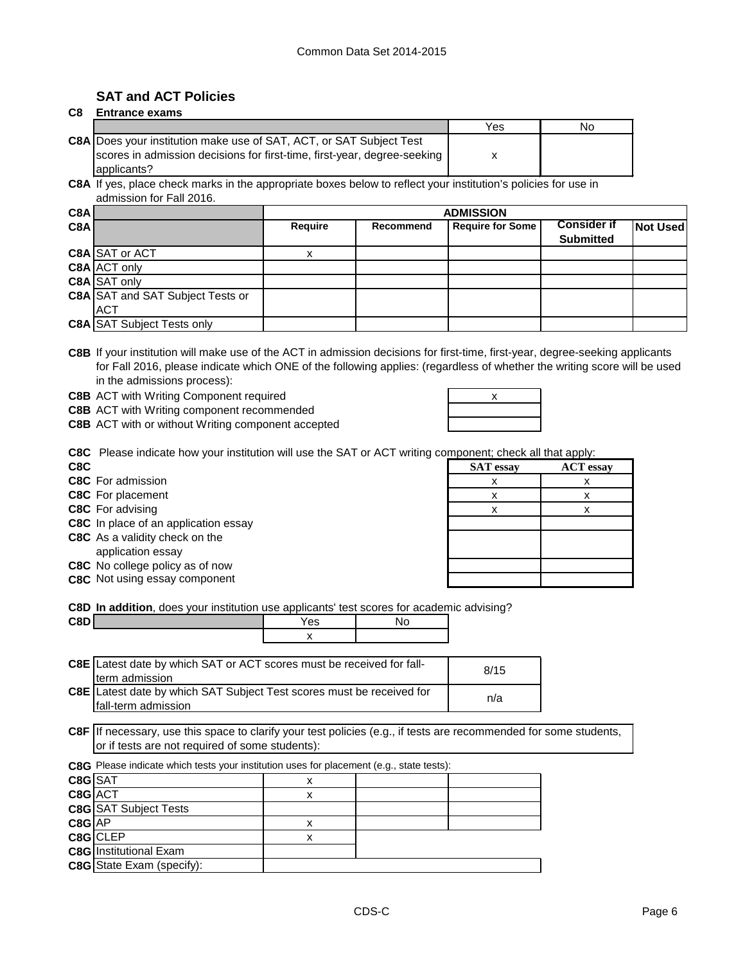## **SAT and ACT Policies**

#### **C8 Entrance exams**

|                                                                            | Yes | No |
|----------------------------------------------------------------------------|-----|----|
| <b>C8A Does your institution make use of SAT, ACT, or SAT Subject Test</b> |     |    |
| scores in admission decisions for first-time, first-year, degree-seeking   |     |    |
| applicants?                                                                |     |    |

**C8A** If yes, place check marks in the appropriate boxes below to reflect your institution's policies for use in admission for Fall 2016.

| C8A |                                         | <b>ADMISSION</b> |                  |                         |                    |                 |
|-----|-----------------------------------------|------------------|------------------|-------------------------|--------------------|-----------------|
| C8A |                                         | <b>Require</b>   | <b>Recommend</b> | <b>Require for Some</b> | <b>Consider if</b> | <b>Not Used</b> |
|     |                                         |                  |                  |                         | <b>Submitted</b>   |                 |
|     | C8A SAT or ACT                          |                  |                  |                         |                    |                 |
|     | C8A ACT only                            |                  |                  |                         |                    |                 |
|     | C8A SAT only                            |                  |                  |                         |                    |                 |
|     | <b>C8A SAT and SAT Subject Tests or</b> |                  |                  |                         |                    |                 |
|     | <b>ACT</b>                              |                  |                  |                         |                    |                 |
|     | <b>C8A SAT Subject Tests only</b>       |                  |                  |                         |                    |                 |

**C8B** If your institution will make use of the ACT in admission decisions for first-time, first-year, degree-seeking applicants for Fall 2016, please indicate which ONE of the following applies: (regardless of whether the writing score will be used in the admissions process):

**C8B** ACT with Writing Component required **ACT 1999** 2008 2019

**C8B** ACT with Writing component recommended

**C8B** ACT with or without Writing component accepted

| х<br>the contract of the contract of |  |
|--------------------------------------|--|
|                                      |  |
|                                      |  |

**C8C** Please indicate how your institution will use the SAT or ACT writing component; check all that apply:

**C8C** Not using essay component

| <b>The Community of the Community of the Community of the Community of the Community of the Community of the Community of the Community of the Community of the Community of the Community of the Community of the Community of </b> |                  |                  |  |  |
|--------------------------------------------------------------------------------------------------------------------------------------------------------------------------------------------------------------------------------------|------------------|------------------|--|--|
| C8C                                                                                                                                                                                                                                  | <b>SAT</b> essay | <b>ACT</b> essay |  |  |
| C8C For admission                                                                                                                                                                                                                    |                  |                  |  |  |
| C8C For placement                                                                                                                                                                                                                    |                  |                  |  |  |
| C8C For advising                                                                                                                                                                                                                     |                  |                  |  |  |
| C8C In place of an application essay                                                                                                                                                                                                 |                  |                  |  |  |
| C8C As a validity check on the                                                                                                                                                                                                       |                  |                  |  |  |
| application essay                                                                                                                                                                                                                    |                  |                  |  |  |
| C8C No college policy as of now                                                                                                                                                                                                      |                  |                  |  |  |
| C8C Not using essay component                                                                                                                                                                                                        |                  |                  |  |  |
|                                                                                                                                                                                                                                      |                  |                  |  |  |

**C8D In addition**, does your institution use applicants' test scores for academic advising?

| C8D | Yes                  | . ۷∪ |
|-----|----------------------|------|
|     | $\ddot{\phantom{a}}$ |      |
|     |                      |      |

| C8E Latest date by which SAT or ACT scores must be received for fall-<br>Iterm admission            | 8/15 |
|-----------------------------------------------------------------------------------------------------|------|
| <b>C8E</b> Latest date by which SAT Subject Test scores must be received for<br>fall-term admission | n/a  |

**C8F** If necessary, use this space to clarify your test policies (e.g., if tests are recommended for some students, or if tests are not required of some students):

|         | <b>C8G</b> Please indicate which tests your institution uses for placement (e.g., state tests): |   |  |  |  |
|---------|-------------------------------------------------------------------------------------------------|---|--|--|--|
| C8G SAT |                                                                                                 | х |  |  |  |
| C8G ACT |                                                                                                 | х |  |  |  |
|         | <b>C8G</b> SAT Subject Tests                                                                    |   |  |  |  |
| C8G AP  |                                                                                                 | х |  |  |  |
|         | C8G CLEP                                                                                        | x |  |  |  |
|         | <b>C8G</b> Institutional Exam                                                                   |   |  |  |  |
|         | <b>C8G</b> State Exam (specify):                                                                |   |  |  |  |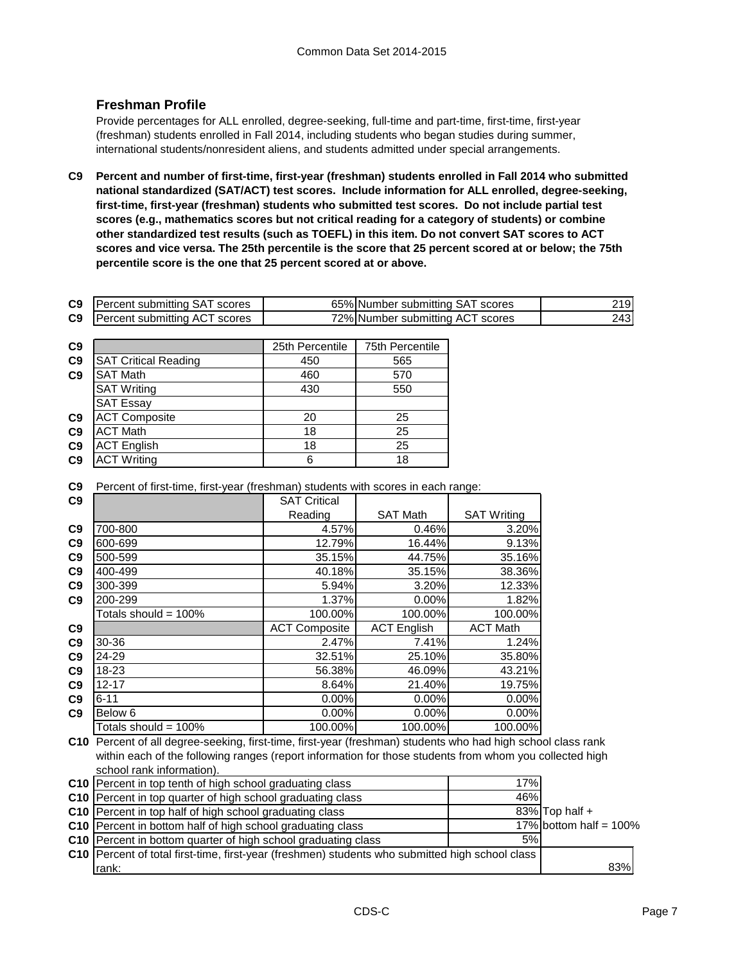## **Freshman Profile**

Provide percentages for ALL enrolled, degree-seeking, full-time and part-time, first-time, first-year (freshman) students enrolled in Fall 2014, including students who began studies during summer, international students/nonresident aliens, and students admitted under special arrangements.

**C9 Percent and number of first-time, first-year (freshman) students enrolled in Fall 2014 who submitted national standardized (SAT/ACT) test scores. Include information for ALL enrolled, degree-seeking, first-time, first-year (freshman) students who submitted test scores. Do not include partial test scores (e.g., mathematics scores but not critical reading for a category of students) or combine other standardized test results (such as TOEFL) in this item. Do not convert SAT scores to ACT scores and vice versa. The 25th percentile is the score that 25 percent scored at or below; the 75th percentile score is the one that 25 percent scored at or above.**

| C <sub>9</sub> | Percent submitting SAT scores | 65% Number submitting SAT scores | 2191 |
|----------------|-------------------------------|----------------------------------|------|
| C <sub>9</sub> | Percent submitting ACT scores | 72% Number submitting ACT scores | 243I |

| C <sub>9</sub> |                             | 25th Percentile | 75th Percentile |
|----------------|-----------------------------|-----------------|-----------------|
| C <sub>9</sub> | <b>SAT Critical Reading</b> | 450             | 565             |
| C <sub>9</sub> | <b>SAT Math</b>             | 460             | 570             |
|                | <b>SAT Writing</b>          | 430             | 550             |
|                | <b>SAT Essay</b>            |                 |                 |
| C9             | <b>ACT Composite</b>        | 20              | 25              |
| C9             | <b>ACT Math</b>             | 18              | 25              |
| C9             | <b>ACT English</b>          | 18              | 25              |
| C <sub>9</sub> | <b>ACT Writing</b>          | 6               | 18              |

**C9** Percent of first-time, first-year (freshman) students with scores in each range:

| C <sub>9</sub> |                         | <b>SAT Critical</b>  |                    |                    |
|----------------|-------------------------|----------------------|--------------------|--------------------|
|                |                         | Reading              | <b>SAT Math</b>    | <b>SAT Writing</b> |
| C <sub>9</sub> | 700-800                 | 4.57%                | 0.46%              | 3.20%              |
| C <sub>9</sub> | 600-699                 | 12.79%               | 16.44%             | 9.13%              |
| C <sub>9</sub> | 500-599                 | 35.15%               | 44.75%             | 35.16%             |
| C <sub>9</sub> | 400-499                 | 40.18%               | 35.15%             | 38.36%             |
| C <sub>9</sub> | 300-399                 | 5.94%                | 3.20%              | 12.33%             |
| C9             | 200-299                 | 1.37%                | 0.00%              | 1.82%              |
|                | Totals should = 100%    | 100.00%              | 100.00%            | 100.00%            |
| C9             |                         | <b>ACT Composite</b> | <b>ACT English</b> | <b>ACT Math</b>    |
| C <sub>9</sub> | 30-36                   | 2.47%                | 7.41%              | 1.24%              |
| C <sub>9</sub> | 24-29                   | 32.51%               | 25.10%             | 35.80%             |
| C <sub>9</sub> | 18-23                   | 56.38%               | 46.09%             | 43.21%             |
| C <sub>9</sub> | $12 - 17$               | 8.64%                | 21.40%             | 19.75%             |
| C9             | $6 - 11$                | 0.00%                | 0.00%              | 0.00%              |
| C <sub>9</sub> | Below 6                 | 0.00%                | 0.00%              | 0.00%              |
|                | Totals should = $100\%$ | 100.00%              | 100.00%            | 100.00%            |

**C10** Percent of all degree-seeking, first-time, first-year (freshman) students who had high school class rank within each of the following ranges (report information for those students from whom you collected high school rank information).

| C10 Percent in top tenth of high school graduating class                                               | 17% |                           |
|--------------------------------------------------------------------------------------------------------|-----|---------------------------|
| C10 Percent in top quarter of high school graduating class                                             | 46% |                           |
| C10 Percent in top half of high school graduating class                                                |     | $83\%$ Top half +         |
| C10 Percent in bottom half of high school graduating class                                             |     | 17% bottom half = $100\%$ |
| C10 Percent in bottom quarter of high school graduating class                                          | 5%  |                           |
| <b>C10</b> Percent of total first-time, first-year (freshmen) students who submitted high school class |     |                           |
| rank:                                                                                                  |     | 83%                       |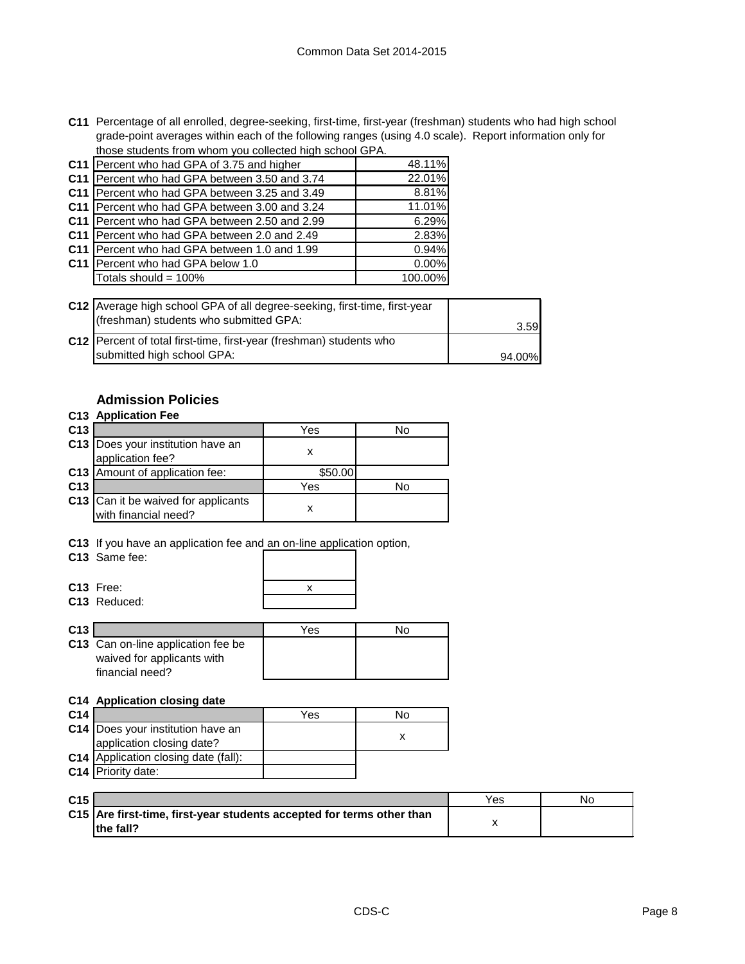**C11** Percentage of all enrolled, degree-seeking, first-time, first-year (freshman) students who had high school grade-point averages within each of the following ranges (using 4.0 scale). Report information only for those students from whom you collected high school GPA.

| C11 Percent who had GPA of 3.75 and higher      | 48.11%  |
|-------------------------------------------------|---------|
| C11 Percent who had GPA between 3.50 and 3.74   | 22.01%  |
| C11 Percent who had GPA between 3.25 and 3.49   | 8.81%   |
| C11   Percent who had GPA between 3.00 and 3.24 | 11.01%  |
| C11   Percent who had GPA between 2.50 and 2.99 | 6.29%   |
| C11   Percent who had GPA between 2.0 and 2.49  | 2.83%   |
| C11   Percent who had GPA between 1.0 and 1.99  | 0.94%   |
| C11 Percent who had GPA below 1.0               | 0.00%   |
| Totals should = 100%                            | 100.00% |
|                                                 |         |

| C12 Average high school GPA of all degree-seeking, first-time, first-year<br>(freshman) students who submitted GPA: | 3.59I  |
|---------------------------------------------------------------------------------------------------------------------|--------|
| C12   Percent of total first-time, first-year (freshman) students who<br>submitted high school GPA:                 | 94.00% |

## **Admission Policies**

|                 | C13 Application Fee                                                |         |    |
|-----------------|--------------------------------------------------------------------|---------|----|
| C <sub>13</sub> |                                                                    | Yes     | Nο |
|                 | C13   Does your institution have an<br>application fee?            | x       |    |
|                 | C13 Amount of application fee:                                     | \$50.00 |    |
| C <sub>13</sub> |                                                                    | Yes     | N٥ |
|                 | <b>C13</b> Can it be waived for applicants<br>with financial need? | x       |    |

**C13** If you have an application fee and an on-line application option,

**C13** Same fee:

**C13** Free: **C13** Reduced:

|  | X |  |
|--|---|--|
|  |   |  |
|  |   |  |

| C <sub>13</sub> |                                                                                     | Yes | N۵ |
|-----------------|-------------------------------------------------------------------------------------|-----|----|
|                 | C13 Can on-line application fee be<br>waived for applicants with<br>financial need? |     |    |

## **C14 Application closing date**

| C <sub>14</sub> |                                             | Yes | No |
|-----------------|---------------------------------------------|-----|----|
|                 | C14   Does your institution have an         |     |    |
|                 | application closing date?                   |     |    |
|                 | <b>C14</b> Application closing date (fall): |     |    |
|                 | C14 Priority date:                          |     |    |

| C <sub>15</sub> |                                                                       | Yes | No |
|-----------------|-----------------------------------------------------------------------|-----|----|
|                 | C15 Are first-time, first-year students accepted for terms other than |     |    |
|                 | the fall?                                                             |     |    |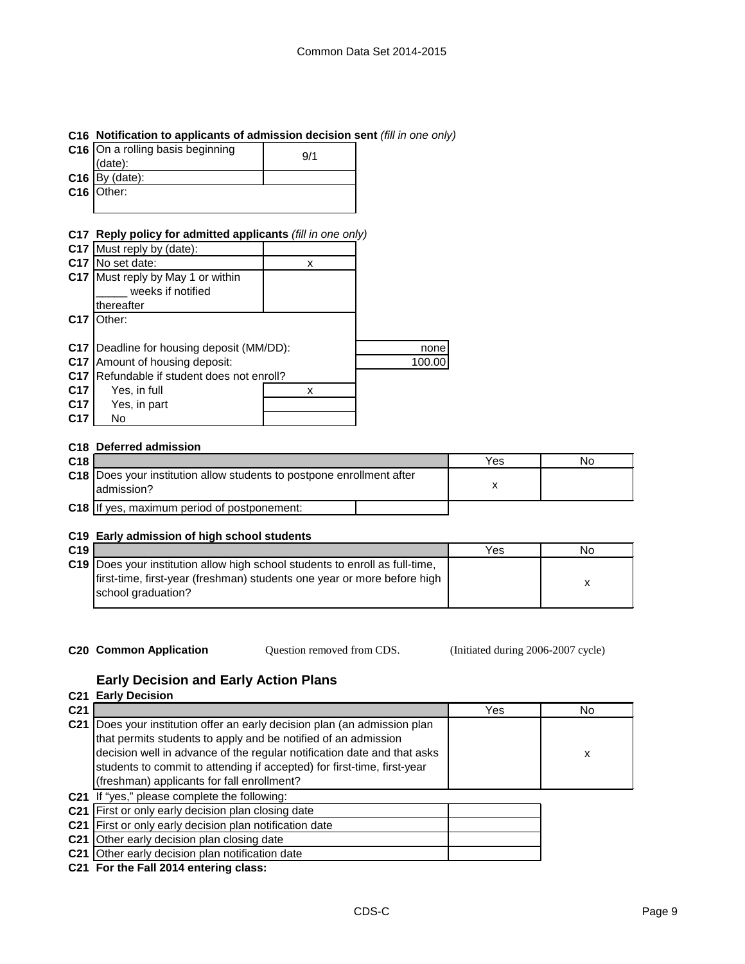### **C16 Notification to applicants of admission decision sent** *(fill in one only)*

| C16 On a rolling basis beginning<br>$(data)$ : | 9/1 |
|------------------------------------------------|-----|
| $C16$ By (date):                               |     |
| $C16$ Other:                                   |     |
|                                                |     |

## **C17 Reply policy for admitted applicants** *(fill in one only)*

|                 | C17 Must reply by (date):              |   |        |
|-----------------|----------------------------------------|---|--------|
| C <sub>17</sub> | No set date:                           | x |        |
| C <sub>17</sub> | Must reply by May 1 or within          |   |        |
|                 | weeks if notified                      |   |        |
|                 | thereafter                             |   |        |
| C <sub>17</sub> | Other:                                 |   |        |
|                 |                                        |   |        |
| C17             | Deadline for housing deposit (MM/DD):  |   | none   |
| C <sub>17</sub> | Amount of housing deposit:             |   | 100.00 |
| C <sub>17</sub> | Refundable if student does not enroll? |   |        |
| C <sub>17</sub> | Yes, in full                           | х |        |
| C17             | Yes, in part                           |   |        |
| C <sub>17</sub> | No                                     |   |        |
|                 |                                        |   |        |

### **C18 Deferred admission**

| C <sub>18</sub> |                                                                                        | Yes | No |
|-----------------|----------------------------------------------------------------------------------------|-----|----|
|                 | C18   Does your institution allow students to postpone enrollment after<br>ladmission? |     |    |
|                 | <b>C18</b> If yes, maximum period of postponement:                                     |     |    |

#### **C19 Early admission of high school students**

| C <sub>19</sub> |                                                                                     | Yes | No |
|-----------------|-------------------------------------------------------------------------------------|-----|----|
|                 | <b>C19</b> Does your institution allow high school students to enroll as full-time, |     |    |
|                 | first-time, first-year (freshman) students one year or more before high             |     |    |
|                 | school graduation?                                                                  |     |    |

**C20 Common Application Question removed from CDS.** (Initiated during 2006-2007 cycle) Question removed from CDS.

## **Early Decision and Early Action Plans**

|                 | <b>C21 Early Decision</b>                                                                                                                                                                                                                                                                                                                   |     |     |  |  |
|-----------------|---------------------------------------------------------------------------------------------------------------------------------------------------------------------------------------------------------------------------------------------------------------------------------------------------------------------------------------------|-----|-----|--|--|
| C <sub>21</sub> |                                                                                                                                                                                                                                                                                                                                             | Yes | No. |  |  |
| C <sub>21</sub> | Does your institution offer an early decision plan (an admission plan<br>that permits students to apply and be notified of an admission<br>decision well in advance of the regular notification date and that asks<br>students to commit to attending if accepted) for first-time, first-year<br>(freshman) applicants for fall enrollment? |     | х   |  |  |
|                 | C21 If "yes," please complete the following:                                                                                                                                                                                                                                                                                                |     |     |  |  |
|                 | C21 First or only early decision plan closing date                                                                                                                                                                                                                                                                                          |     |     |  |  |
|                 | C21 First or only early decision plan notification date                                                                                                                                                                                                                                                                                     |     |     |  |  |
|                 | C21 Other early decision plan closing date                                                                                                                                                                                                                                                                                                  |     |     |  |  |
|                 | C21 Other early decision plan notification date                                                                                                                                                                                                                                                                                             |     |     |  |  |
|                 | C21 For the Fall 2014 entering class:                                                                                                                                                                                                                                                                                                       |     |     |  |  |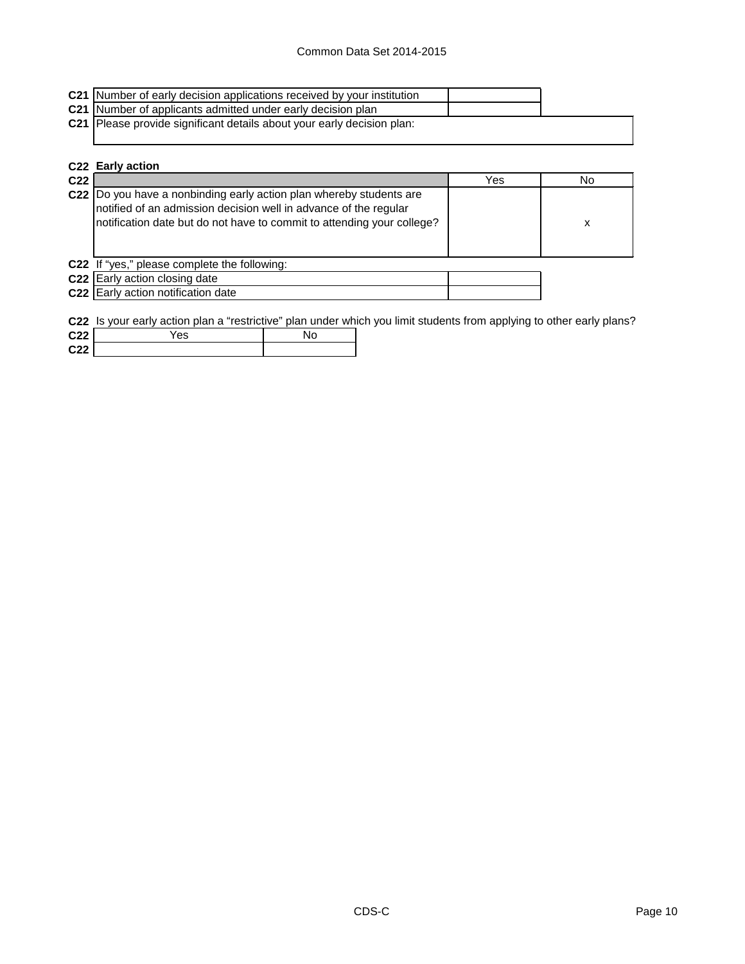## Common Data Set 2014-2015

| C21 Number of early decision applications received by your institution |
|------------------------------------------------------------------------|
| C21 Number of applicants admitted under early decision plan            |
| C21 Please provide significant details about your early decision plan: |
|                                                                        |

|                 | C22 Early action                                                                                                                                                                                                   |     |    |
|-----------------|--------------------------------------------------------------------------------------------------------------------------------------------------------------------------------------------------------------------|-----|----|
| C <sub>22</sub> |                                                                                                                                                                                                                    | Yes | No |
|                 | C22  Do you have a nonbinding early action plan whereby students are<br>notified of an admission decision well in advance of the regular<br>notification date but do not have to commit to attending your college? |     | x  |
|                 | C22 If "yes," please complete the following:                                                                                                                                                                       |     |    |
|                 | C22 Early action closing date                                                                                                                                                                                      |     |    |
|                 | <b>C22</b> Early action notification date                                                                                                                                                                          |     |    |

**C22** Is your early action plan a "restrictive" plan under which you limit students from applying to other early plans?

| C <sub>22</sub> | 'es | NO. |
|-----------------|-----|-----|
| C <sub>22</sub> |     |     |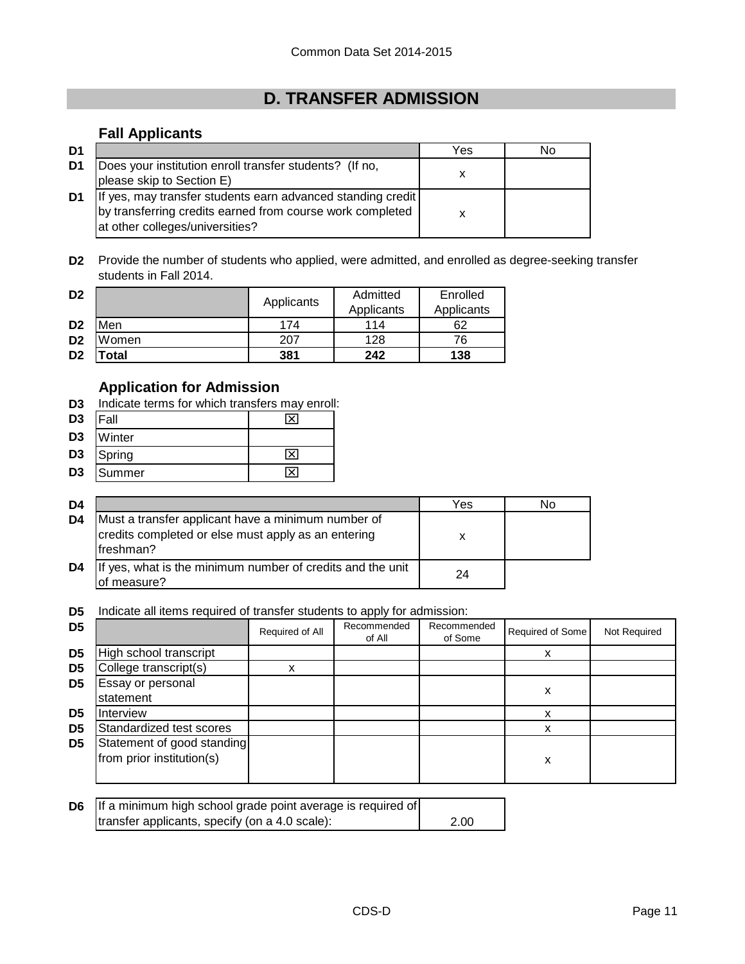# **D. TRANSFER ADMISSION**

## **Fall Applicants**

| D <sub>1</sub> |                                                                                                                                                             | Yes | No |
|----------------|-------------------------------------------------------------------------------------------------------------------------------------------------------------|-----|----|
| D1             | Does your institution enroll transfer students? (If no,<br>please skip to Section E)                                                                        |     |    |
| D1             | If yes, may transfer students earn advanced standing credit<br>by transferring credits earned from course work completed<br>at other colleges/universities? |     |    |

**D2** Provide the number of students who applied, were admitted, and enrolled as degree-seeking transfer students in Fall 2014.

| D <sub>2</sub> |       | Applicants | Admitted   | Enrolled   |
|----------------|-------|------------|------------|------------|
|                |       |            | Applicants | Applicants |
| D <sub>2</sub> | Men   | 174        | 114        | 62         |
| D <sub>2</sub> | Women | 207        | 128        | 76         |
| D <sub>2</sub> | 'otal | 381        | 242        | 138        |

## **Application for Admission**

**D3** Indicate terms for which transfers may enroll:

| D <sub>3</sub> | <b>IFall</b> |                          |
|----------------|--------------|--------------------------|
| D3             | Winter       |                          |
| --             |              | $\overline{\phantom{a}}$ |

- **D3** Spring  $\boxtimes$
- D3 Summer ND3 N

| D4             |                                                                                                                         | Yes | No |
|----------------|-------------------------------------------------------------------------------------------------------------------------|-----|----|
| D <sub>4</sub> | Must a transfer applicant have a minimum number of<br>credits completed or else must apply as an entering<br>lfreshman? | x   |    |
| D4             | If yes, what is the minimum number of credits and the unit<br>of measure?                                               | 24  |    |

**D5** Indicate all items required of transfer students to apply for admission:

| D <sub>5</sub> |                                                         | Required of All | Recommended<br>of All | Recommended<br>of Some | Required of Some | Not Required |
|----------------|---------------------------------------------------------|-----------------|-----------------------|------------------------|------------------|--------------|
| D <sub>5</sub> | High school transcript                                  |                 |                       |                        | x                |              |
| D <sub>5</sub> | College transcript(s)                                   | x               |                       |                        |                  |              |
| D <sub>5</sub> | Essay or personal<br>statement                          |                 |                       |                        | х                |              |
| D <sub>5</sub> | Interview                                               |                 |                       |                        |                  |              |
| D <sub>5</sub> | Standardized test scores                                |                 |                       |                        |                  |              |
| D <sub>5</sub> | Statement of good standing<br>from prior institution(s) |                 |                       |                        | x                |              |

| <b>D6</b> If a minimum high school grade point average is required of |      |
|-----------------------------------------------------------------------|------|
| transfer applicants, specify (on a 4.0 scale):                        | 2.00 |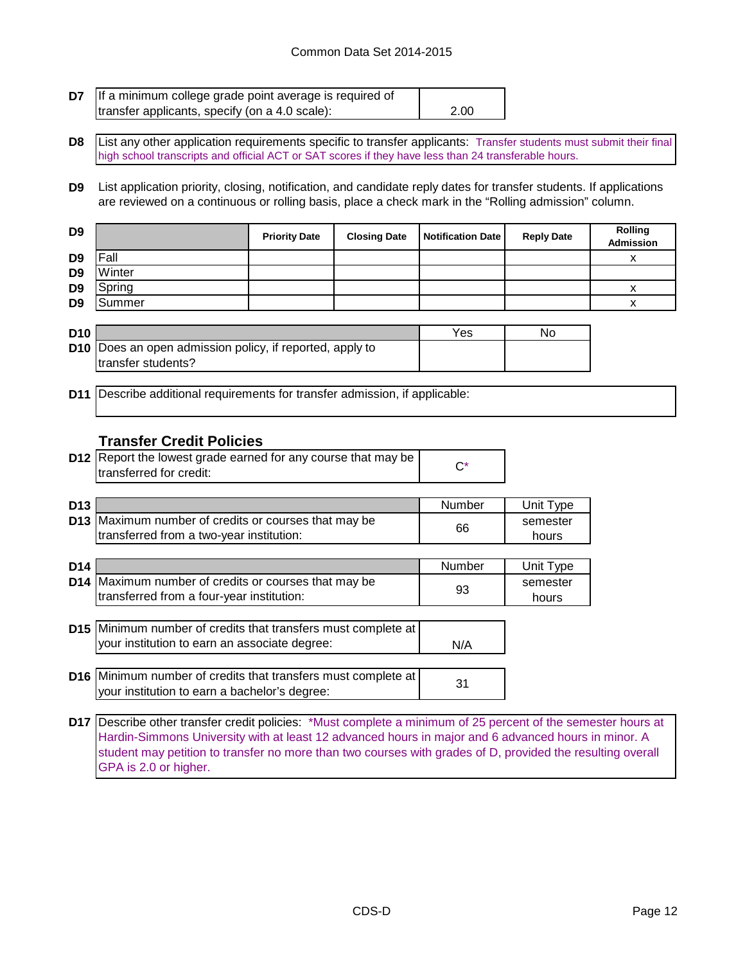#### Common Data Set 2014-2015

| <b>D7</b> If a minimum college grade point average is required of |      |
|-------------------------------------------------------------------|------|
| transfer applicants, specify (on a 4.0 scale):                    | 2.00 |

**D8** List any other application requirements specific to transfer applicants: Transfer students must submit their final high school transcripts and official ACT or SAT scores if they have less than 24 transferable hours.

**D9** List application priority, closing, notification, and candidate reply dates for transfer students. If applications are reviewed on a continuous or rolling basis, place a check mark in the "Rolling admission" column.

| D <sub>9</sub> |        | <b>Priority Date</b> | <b>Closing Date</b> | Notification Date | <b>Reply Date</b> | <b>Rolling</b><br><b>Admission</b> |
|----------------|--------|----------------------|---------------------|-------------------|-------------------|------------------------------------|
| D <sub>9</sub> | Fall   |                      |                     |                   |                   |                                    |
| D <sub>9</sub> | Winter |                      |                     |                   |                   |                                    |
| D <sub>9</sub> | Spring |                      |                     |                   |                   |                                    |
| D <sub>9</sub> | Summer |                      |                     |                   |                   |                                    |

| <b>D10</b> |                                                                 | Yes | No |
|------------|-----------------------------------------------------------------|-----|----|
|            | <b>D10</b> Does an open admission policy, if reported, apply to |     |    |
|            | transfer students?                                              |     |    |

**D11** Describe additional requirements for transfer admission, if applicable:

#### **Transfer Credit Policies**

| <b>D12</b> Report the lowest grade earned for any course that may be |  |
|----------------------------------------------------------------------|--|
| transferred for credit:                                              |  |

| D <sub>13</sub> |                                                             | Number | Unit Type |
|-----------------|-------------------------------------------------------------|--------|-----------|
|                 | <b>D13</b> Maximum number of credits or courses that may be |        | semester  |
|                 | Itransferred from a two-year institution:                   | 66     | hours     |

| D <sub>14</sub> |                                                                      | Number | Unit Type |
|-----------------|----------------------------------------------------------------------|--------|-----------|
|                 | D14 Maximum number of credits or courses that may be                 |        | semester  |
|                 | transferred from a four-year institution:                            | 93     | hours     |
|                 |                                                                      |        |           |
|                 | <b>D15</b> Minimum number of credits that transfers must complete at |        |           |
|                 | your institution to earn an associate degree:                        | N/A    |           |
|                 |                                                                      |        |           |
|                 | <b>D16</b> Minimum number of credits that transfers must complete at |        |           |
|                 | your institution to earn a bachelor's degree:                        | 31     |           |

**D17** Describe other transfer credit policies: \*Must complete a minimum of 25 percent of the semester hours at Hardin-Simmons University with at least 12 advanced hours in major and 6 advanced hours in minor. A student may petition to transfer no more than two courses with grades of D, provided the resulting overall GPA is 2.0 or higher.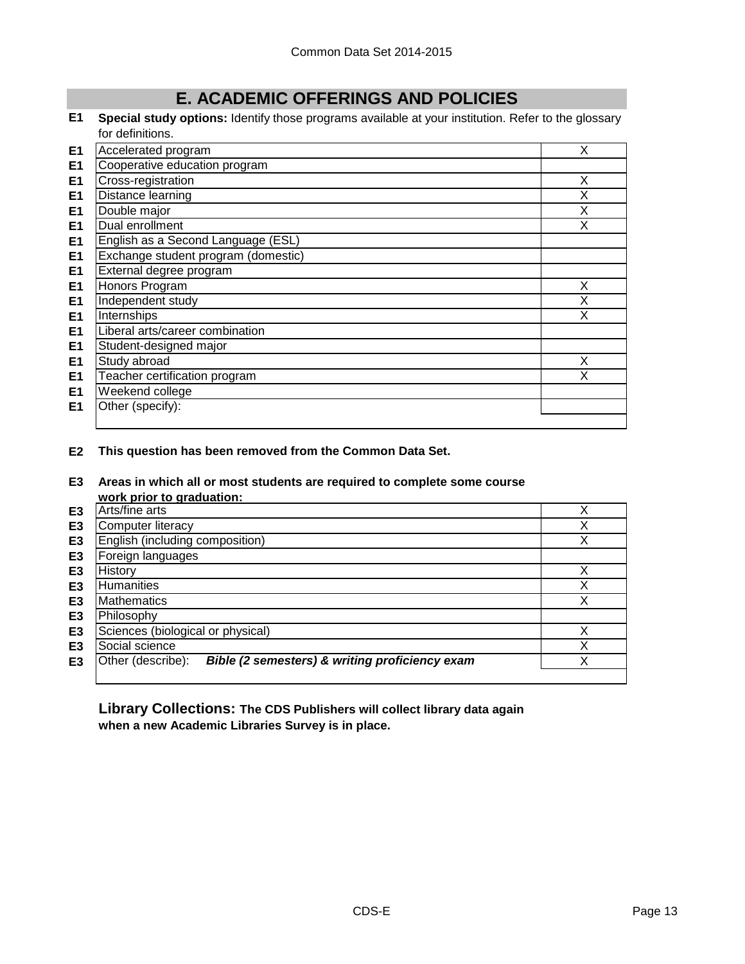# **E. ACADEMIC OFFERINGS AND POLICIES**

**E1 Special study options:** Identify those programs available at your institution. Refer to the glossary for definitions.

| E1             | Accelerated program                 | X |
|----------------|-------------------------------------|---|
| E1             | Cooperative education program       |   |
| E <sub>1</sub> | Cross-registration                  | X |
| E <sub>1</sub> | Distance learning                   | X |
| E <sub>1</sub> | Double major                        | X |
| E <sub>1</sub> | Dual enrollment                     | x |
| E <sub>1</sub> | English as a Second Language (ESL)  |   |
| E <sub>1</sub> | Exchange student program (domestic) |   |
| E <sub>1</sub> | External degree program             |   |
| E <sub>1</sub> | Honors Program                      | X |
| E <sub>1</sub> | Independent study                   | X |
| E <sub>1</sub> | Internships                         | X |
| E <sub>1</sub> | Liberal arts/career combination     |   |
| E <sub>1</sub> | Student-designed major              |   |
| E <sub>1</sub> | Study abroad                        | X |
| E <sub>1</sub> | Teacher certification program       | x |
| E <sub>1</sub> | Weekend college                     |   |
| E1             | Other (specify):                    |   |
|                |                                     |   |

**E2 This question has been removed from the Common Data Set.**

#### **E3 Areas in which all or most students are required to complete some course work prior to graduation:**

|                | work prior to graduation.                                           |   |
|----------------|---------------------------------------------------------------------|---|
| E3             | Arts/fine arts                                                      | ◡ |
| E3             | Computer literacy                                                   | Х |
| E <sub>3</sub> | English (including composition)                                     | Х |
| E <sub>3</sub> | Foreign languages                                                   |   |
| E3             | History                                                             | v |
| E <sub>3</sub> | Humanities                                                          | v |
| E <sub>3</sub> | <b>Mathematics</b>                                                  | X |
| E <sub>3</sub> | Philosophy                                                          |   |
| E <sub>3</sub> | Sciences (biological or physical)                                   |   |
| E <sub>3</sub> | Social science                                                      |   |
| E <sub>3</sub> | Bible (2 semesters) & writing proficiency exam<br>Other (describe): |   |
|                |                                                                     |   |

**Library Collections: The CDS Publishers will collect library data again when a new Academic Libraries Survey is in place.**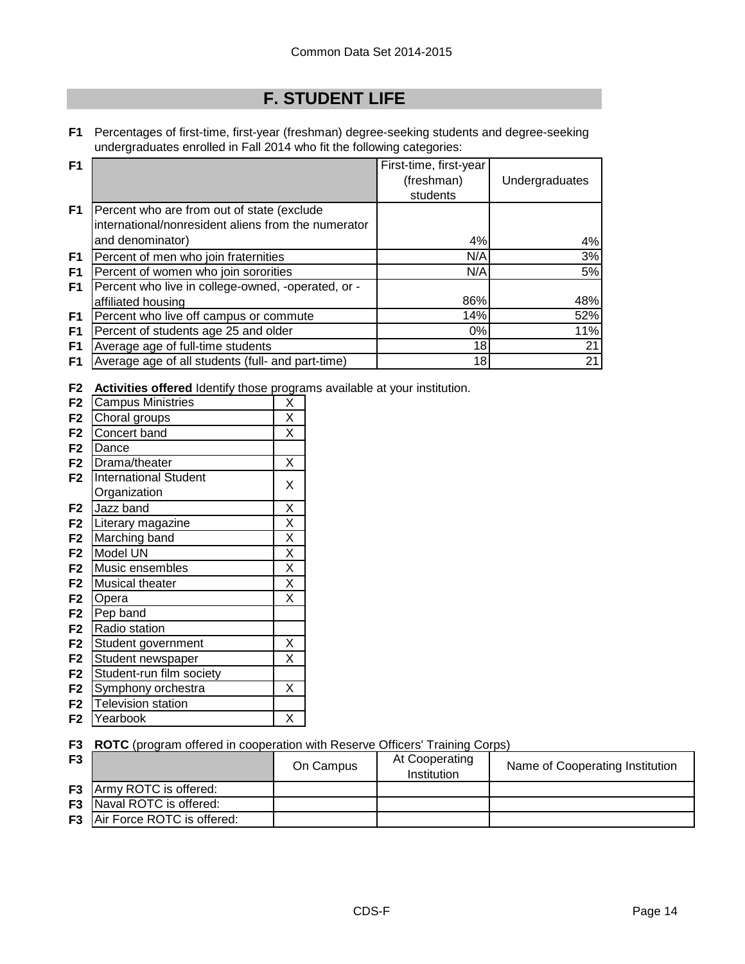# **F. STUDENT LIFE**

**F1** Percentages of first-time, first-year (freshman) degree-seeking students and degree-seeking undergraduates enrolled in Fall 2014 who fit the following categories:

| F <sub>1</sub> |                                                     | First-time, first-year |                |
|----------------|-----------------------------------------------------|------------------------|----------------|
|                |                                                     | (freshman)             | Undergraduates |
|                |                                                     | students               |                |
| F <sub>1</sub> | Percent who are from out of state (exclude          |                        |                |
|                | international/nonresident aliens from the numerator |                        |                |
|                | and denominator)                                    | 4%                     | 4%             |
| F <sub>1</sub> | Percent of men who join fraternities                | N/A                    | 3%             |
| F <sub>1</sub> | Percent of women who join sororities                | N/A                    | 5%             |
| F1             | Percent who live in college-owned, -operated, or -  |                        |                |
|                | affiliated housing                                  | 86%                    | 48%            |
| F1             | Percent who live off campus or commute              | 14%                    | 52%            |
| F <sub>1</sub> | Percent of students age 25 and older                | $0\%$                  | 11%            |
| F <sub>1</sub> | Average age of full-time students                   | 18                     | 21             |
| F1             | Average age of all students (full- and part-time)   | 18                     | 21             |

**F2 Activities offered** Identify those programs available at your institution.

| F <sub>2</sub> | <b>Campus Ministries</b>     | Χ                       |
|----------------|------------------------------|-------------------------|
| F <sub>2</sub> | Choral groups                | X                       |
| F <sub>2</sub> | Concert band                 | X                       |
| F <sub>2</sub> | Dance                        |                         |
| F <sub>2</sub> | Drama/theater                | Χ                       |
| F <sub>2</sub> | <b>International Student</b> | Χ                       |
|                | Organization                 |                         |
| F <sub>2</sub> | Jazz band                    | X                       |
| F <sub>2</sub> | Literary magazine            | $\overline{\mathsf{x}}$ |
| F <sub>2</sub> | Marching band                | $\overline{\mathsf{x}}$ |
| F <sub>2</sub> | Model UN                     | $\overline{\mathsf{x}}$ |
| F <sub>2</sub> | Music ensembles              | $\overline{\mathsf{x}}$ |
| F <sub>2</sub> | Musical theater              | $\overline{\mathsf{x}}$ |
| F <sub>2</sub> | Opera                        | $\overline{\mathsf{x}}$ |
| F <sub>2</sub> | Pep band                     |                         |
| F <sub>2</sub> | Radio station                |                         |
| F <sub>2</sub> | Student government           | Χ                       |
| F <sub>2</sub> | Student newspaper            | X                       |
| F <sub>2</sub> | Student-run film society     |                         |
| F <sub>2</sub> | Symphony orchestra           | Χ                       |
| F <sub>2</sub> | <b>Television station</b>    |                         |
| F2             | Yearbook                     | Χ                       |
|                |                              |                         |

**F3 ROTC** (program offered in cooperation with Reserve Officers' Training Corps)

| F <sub>3</sub> |                                      | On Campus | At Cooperating<br>Institution | Name of Cooperating Institution |
|----------------|--------------------------------------|-----------|-------------------------------|---------------------------------|
|                | <b>F3</b> Army ROTC is offered:      |           |                               |                                 |
|                | <b>F3</b> Naval ROTC is offered:     |           |                               |                                 |
|                | <b>F3</b> Air Force ROTC is offered: |           |                               |                                 |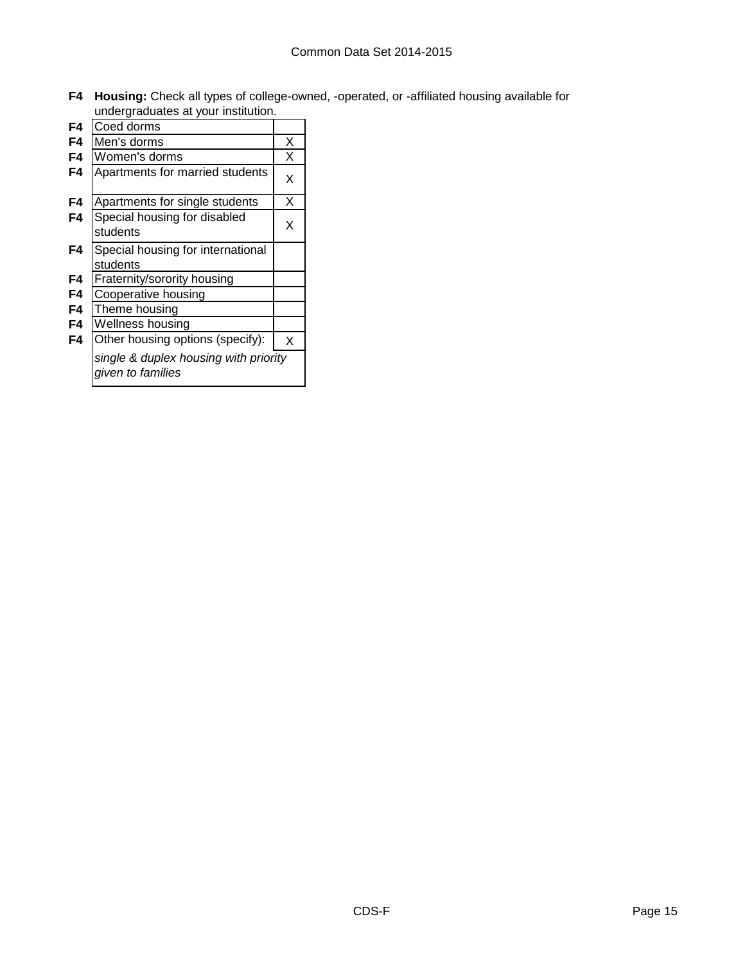**F4 Housing:** Check all types of college-owned, -operated, or -affiliated housing available for undergraduates at your institution.

| F4 | Coed dorms                                                 |   |
|----|------------------------------------------------------------|---|
| F4 | Men's dorms                                                | х |
| F4 | Women's dorms                                              | х |
| F4 | Apartments for married students                            | X |
| F4 | Apartments for single students                             | Χ |
| F4 | Special housing for disabled<br>students                   | Χ |
| F4 | Special housing for international                          |   |
|    | students                                                   |   |
| F4 | Fraternity/sorority housing                                |   |
| F4 | Cooperative housing                                        |   |
| F4 | Theme housing                                              |   |
| F4 | Wellness housing                                           |   |
| F4 | Other housing options (specify):                           | X |
|    | single & duplex housing with priority<br>given to families |   |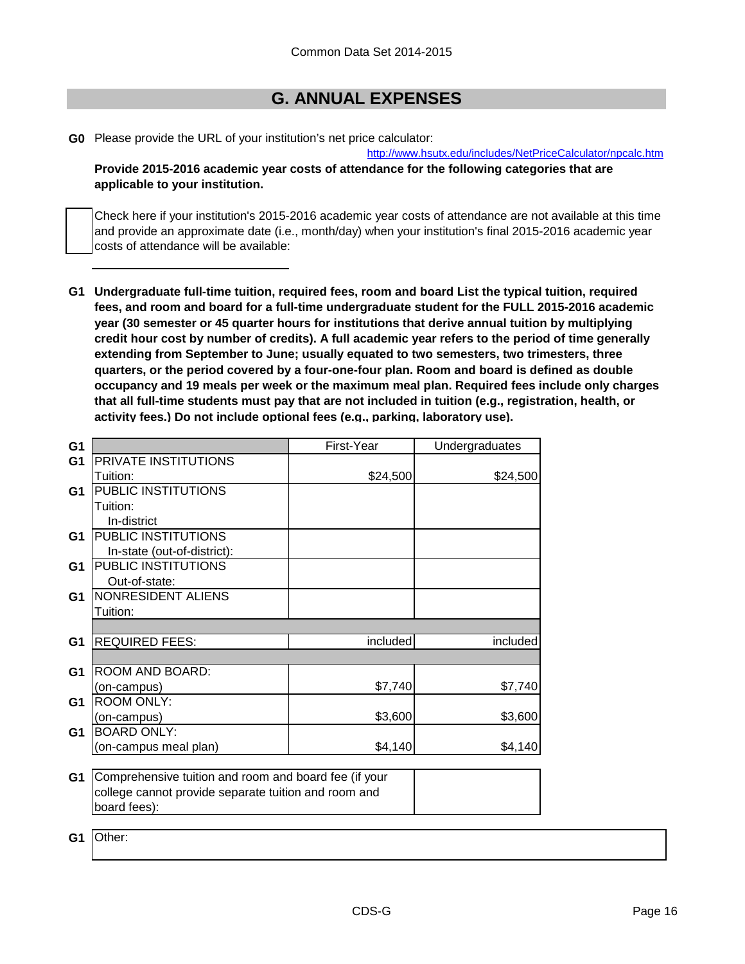# **G. ANNUAL EXPENSES**

**G0** Please provide the URL of your institution's net price calculator:

[http://www](http://www.hsutx.edu/includes/NetPriceCalculator/npcalc.htm).hsutx.edu/includes/NetPriceCalculator/npcalc.htm **Provide 2015-2016 academic year costs of attendance for the following categories that are applicable to your institution.**

Check here if your institution's 2015-2016 academic year costs of attendance are not available at this time and provide an approximate date (i.e., month/day) when your institution's final 2015-2016 academic year costs of attendance will be available:

**G1 Undergraduate full-time tuition, required fees, room and board List the typical tuition, required fees, and room and board for a full-time undergraduate student for the FULL 2015-2016 academic year (30 semester or 45 quarter hours for institutions that derive annual tuition by multiplying credit hour cost by number of credits). A full academic year refers to the period of time generally extending from September to June; usually equated to two semesters, two trimesters, three quarters, or the period covered by a four-one-four plan. Room and board is defined as double occupancy and 19 meals per week or the maximum meal plan. Required fees include only charges that all full-time students must pay that are not included in tuition (e.g., registration, health, or activity fees.) Do not include optional fees (e.g., parking, laboratory use).**

| G <sub>1</sub> |                                                       | First-Year | Undergraduates |
|----------------|-------------------------------------------------------|------------|----------------|
| G <sub>1</sub> | PRIVATE INSTITUTIONS                                  |            |                |
|                | Tuition:                                              | \$24,500   | \$24,500       |
| G <sub>1</sub> | PUBLIC INSTITUTIONS                                   |            |                |
|                | Tuition:                                              |            |                |
|                | In-district                                           |            |                |
| G <sub>1</sub> | PUBLIC INSTITUTIONS                                   |            |                |
|                | In-state (out-of-district):                           |            |                |
| G <sub>1</sub> | PUBLIC INSTITUTIONS                                   |            |                |
|                | Out-of-state:                                         |            |                |
| G <sub>1</sub> | NONRESIDENT ALIENS                                    |            |                |
|                | Tuition:                                              |            |                |
|                |                                                       |            |                |
| G <sub>1</sub> | <b>REQUIRED FEES:</b>                                 | included   | included       |
|                |                                                       |            |                |
| G <sub>1</sub> | ROOM AND BOARD:                                       |            |                |
|                | (on-campus)                                           | \$7,740    | \$7,740        |
| G <sub>1</sub> | <b>ROOM ONLY:</b>                                     |            |                |
|                | (on-campus)                                           | \$3,600    | \$3,600        |
| G1             | <b>BOARD ONLY:</b>                                    |            |                |
|                | (on-campus meal plan)                                 | \$4,140    | \$4,140        |
|                |                                                       |            |                |
| G <sub>1</sub> | Comprehensive tuition and room and board fee (if your |            |                |
|                | college cannot provide separate tuition and room and  |            |                |
|                | board fees):                                          |            |                |
|                |                                                       |            |                |
| G1             | Other:                                                |            |                |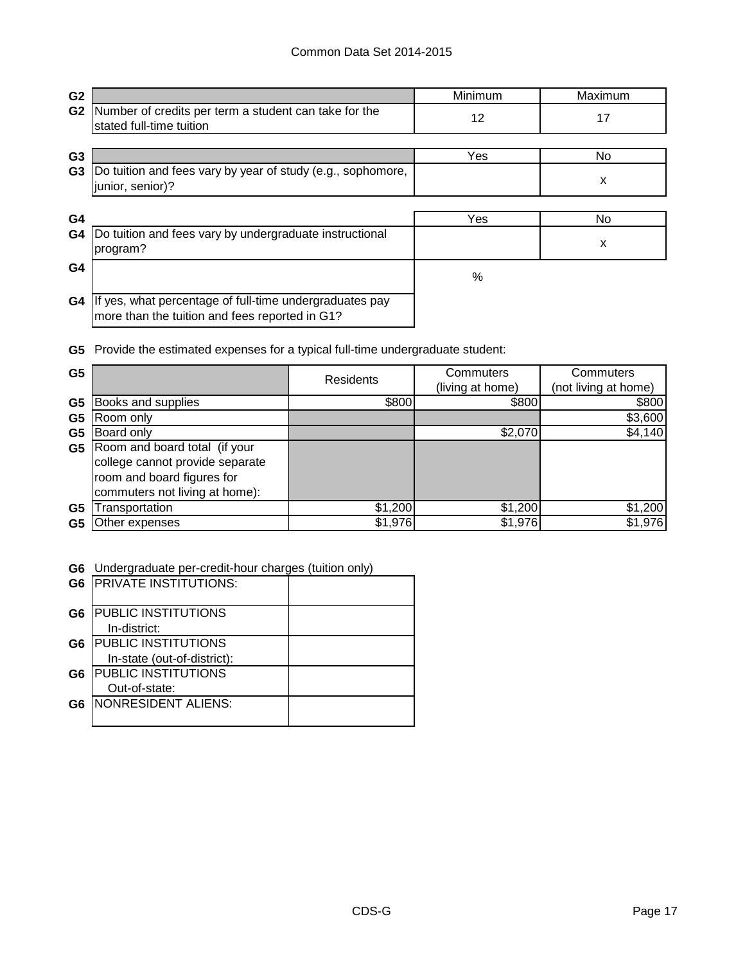| G <sub>2</sub> |                                                                                                           | Minimum | Maximum |
|----------------|-----------------------------------------------------------------------------------------------------------|---------|---------|
| G <sub>2</sub> | Number of credits per term a student can take for the<br>stated full-time tuition                         | 12      | 17      |
| G <sub>3</sub> |                                                                                                           | Yes     | No.     |
| G <sub>3</sub> | Do tuition and fees vary by year of study (e.g., sophomore,<br>junior, senior)?                           |         | X       |
| G4             |                                                                                                           | Yes     | No      |
| G4             | Do tuition and fees vary by undergraduate instructional<br>program?                                       |         | X       |
| G4             |                                                                                                           | %       |         |
| G4             | If yes, what percentage of full-time undergraduates pay<br>more than the tuition and fees reported in G1? |         |         |

**G5** Provide the estimated expenses for a typical full-time undergraduate student:

| G <sub>5</sub> |                                                                                                                                  | <b>Residents</b> | Commuters        | Commuters            |
|----------------|----------------------------------------------------------------------------------------------------------------------------------|------------------|------------------|----------------------|
|                |                                                                                                                                  |                  | (living at home) | (not living at home) |
| G <sub>5</sub> | Books and supplies                                                                                                               | \$800            | \$800            | \$800                |
| G <sub>5</sub> | Room only                                                                                                                        |                  |                  | \$3,600              |
| G5             | Board only                                                                                                                       |                  | \$2,070          | \$4,140              |
| G5             | Room and board total (if your<br>college cannot provide separate<br>room and board figures for<br>commuters not living at home): |                  |                  |                      |
| G <sub>5</sub> | Transportation                                                                                                                   | \$1,200          | \$1,200          | \$1,200              |
| G5             | Other expenses                                                                                                                   | \$1,976          | \$1,976          | \$1,976              |

**G6** Undergraduate per-credit-hour charges (tuition only)

|                | <b>G6 PRIVATE INSTITUTIONS:</b> |  |
|----------------|---------------------------------|--|
| G <sub>6</sub> | <b>PUBLIC INSTITUTIONS</b>      |  |
|                | In-district:                    |  |
| G6             | <b>PUBLIC INSTITUTIONS</b>      |  |
|                | In-state (out-of-district):     |  |
| G <sub>6</sub> | <b>PUBLIC INSTITUTIONS</b>      |  |
|                | Out-of-state:                   |  |
| G6             | <b>NONRESIDENT ALIENS:</b>      |  |
|                |                                 |  |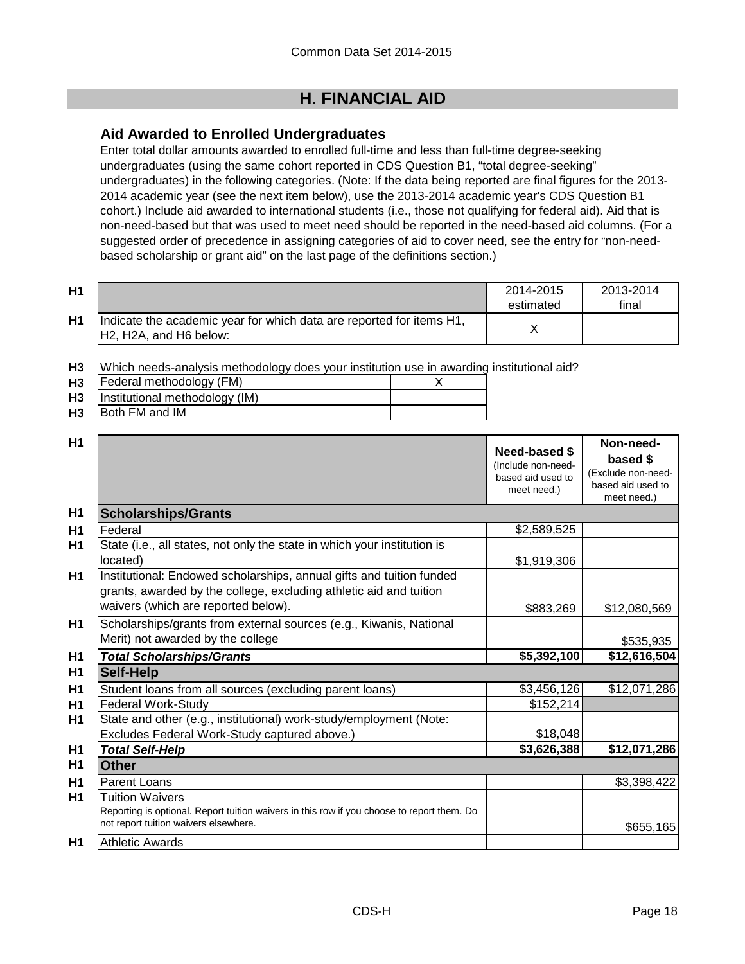# **H. FINANCIAL AID**

## **Aid Awarded to Enrolled Undergraduates**

Enter total dollar amounts awarded to enrolled full-time and less than full-time degree-seeking undergraduates (using the same cohort reported in CDS Question B1, "total degree-seeking" undergraduates) in the following categories. (Note: If the data being reported are final figures for the 2013- 2014 academic year (see the next item below), use the 2013-2014 academic year's CDS Question B1 cohort.) Include aid awarded to international students (i.e., those not qualifying for federal aid). Aid that is non-need-based but that was used to meet need should be reported in the need-based aid columns. (For a suggested order of precedence in assigning categories of aid to cover need, see the entry for "non-needbased scholarship or grant aid" on the last page of the definitions section.)

| H <sub>1</sub> |                                                                                                 | 2014-2015<br>estimated | 2013-2014<br>final |
|----------------|-------------------------------------------------------------------------------------------------|------------------------|--------------------|
| H1             | Indicate the academic year for which data are reported for items H1,<br>IH2. H2A, and H6 below: |                        |                    |

**H3** Which needs-analysis methodology does your institution use in awarding institutional aid?

| H <sub>3</sub> | Federal methodology (FM)       |  |
|----------------|--------------------------------|--|
| H <sub>3</sub> | Institutional methodology (IM) |  |
| H <sub>3</sub> | Both FM and IM                 |  |

| H <sub>1</sub> |                                                                                                                                                                                   | Need-based \$<br>(Include non-need-<br>based aid used to<br>meet need.) | Non-need-<br>based \$<br>(Exclude non-need-<br>based aid used to<br>meet need.) |
|----------------|-----------------------------------------------------------------------------------------------------------------------------------------------------------------------------------|-------------------------------------------------------------------------|---------------------------------------------------------------------------------|
| H <sub>1</sub> | <b>Scholarships/Grants</b>                                                                                                                                                        |                                                                         |                                                                                 |
| H1             | Federal                                                                                                                                                                           | \$2,589,525                                                             |                                                                                 |
| H1             | State (i.e., all states, not only the state in which your institution is<br>located)                                                                                              | \$1,919,306                                                             |                                                                                 |
| H1             | Institutional: Endowed scholarships, annual gifts and tuition funded<br>grants, awarded by the college, excluding athletic aid and tuition<br>waivers (which are reported below). | \$883,269                                                               | \$12,080,569                                                                    |
| H1             | Scholarships/grants from external sources (e.g., Kiwanis, National<br>Merit) not awarded by the college                                                                           |                                                                         | \$535,935                                                                       |
| H <sub>1</sub> | <b>Total Scholarships/Grants</b>                                                                                                                                                  | \$5,392,100                                                             | \$12,616,504                                                                    |
| H1             | <b>Self-Help</b>                                                                                                                                                                  |                                                                         |                                                                                 |
| H1             | Student loans from all sources (excluding parent loans)                                                                                                                           | \$3,456,126                                                             | \$12,071,286                                                                    |
| H1             | <b>Federal Work-Study</b>                                                                                                                                                         | \$152,214                                                               |                                                                                 |
| H1             | State and other (e.g., institutional) work-study/employment (Note:                                                                                                                |                                                                         |                                                                                 |
|                | Excludes Federal Work-Study captured above.)                                                                                                                                      | \$18,048                                                                |                                                                                 |
| H1             | <b>Total Self-Help</b>                                                                                                                                                            | \$3,626,388                                                             | \$12,071,286                                                                    |
| H1             | Other                                                                                                                                                                             |                                                                         |                                                                                 |
| H1             | Parent Loans                                                                                                                                                                      |                                                                         | \$3,398,422                                                                     |
| H1             | <b>Tuition Waivers</b><br>Reporting is optional. Report tuition waivers in this row if you choose to report them. Do<br>not report tuition waivers elsewhere.                     |                                                                         | \$655,165                                                                       |
| H1             | <b>Athletic Awards</b>                                                                                                                                                            |                                                                         |                                                                                 |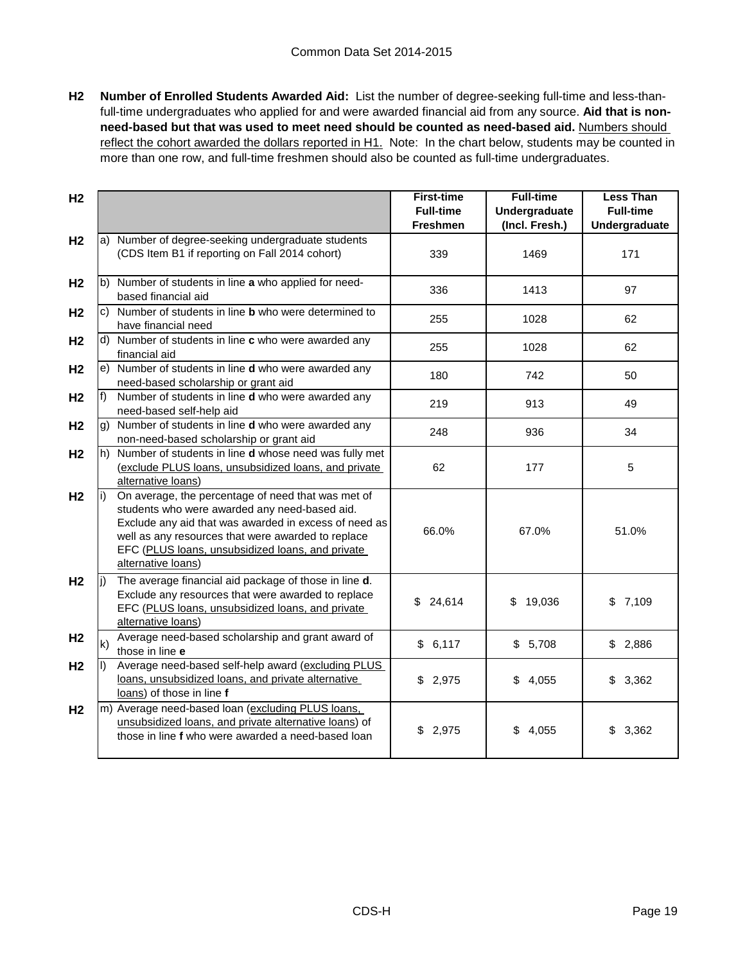**H2 Number of Enrolled Students Awarded Aid:** List the number of degree-seeking full-time and less-thanfull-time undergraduates who applied for and were awarded financial aid from any source. **Aid that is nonneed-based but that was used to meet need should be counted as need-based aid.** Numbers should reflect the cohort awarded the dollars reported in H1. Note: In the chart below, students may be counted in more than one row, and full-time freshmen should also be counted as full-time undergraduates.

| H <sub>2</sub> |              |                                                                                                                                                                                                                                                                                              | <b>First-time</b><br><b>Full-time</b><br><b>Freshmen</b> | <b>Full-time</b><br><b>Undergraduate</b><br>(Incl. Fresh.) | <b>Less Than</b><br><b>Full-time</b><br>Undergraduate |
|----------------|--------------|----------------------------------------------------------------------------------------------------------------------------------------------------------------------------------------------------------------------------------------------------------------------------------------------|----------------------------------------------------------|------------------------------------------------------------|-------------------------------------------------------|
| H <sub>2</sub> |              | a) Number of degree-seeking undergraduate students<br>(CDS Item B1 if reporting on Fall 2014 cohort)                                                                                                                                                                                         | 339                                                      | 1469                                                       | 171                                                   |
| H <sub>2</sub> |              | b) Number of students in line a who applied for need-<br>based financial aid                                                                                                                                                                                                                 | 336                                                      | 1413                                                       | 97                                                    |
| H <sub>2</sub> |              | c) Number of students in line <b>b</b> who were determined to<br>have financial need                                                                                                                                                                                                         | 255                                                      | 1028                                                       | 62                                                    |
| H <sub>2</sub> |              | d) Number of students in line c who were awarded any<br>financial aid                                                                                                                                                                                                                        | 255                                                      | 1028                                                       | 62                                                    |
| H <sub>2</sub> |              | e) Number of students in line <b>d</b> who were awarded any<br>need-based scholarship or grant aid                                                                                                                                                                                           | 180                                                      | 742                                                        | 50                                                    |
| H <sub>2</sub> | f)           | Number of students in line d who were awarded any<br>need-based self-help aid                                                                                                                                                                                                                | 219                                                      | 913                                                        | 49                                                    |
| H <sub>2</sub> |              | g) Number of students in line d who were awarded any<br>non-need-based scholarship or grant aid                                                                                                                                                                                              | 248                                                      | 936                                                        | 34                                                    |
| H <sub>2</sub> |              | h) Number of students in line <b>d</b> whose need was fully met<br>(exclude PLUS loans, unsubsidized loans, and private<br>alternative loans)                                                                                                                                                | 62                                                       | 177                                                        | 5                                                     |
| H <sub>2</sub> |              | On average, the percentage of need that was met of<br>students who were awarded any need-based aid.<br>Exclude any aid that was awarded in excess of need as<br>well as any resources that were awarded to replace<br>EFC (PLUS loans, unsubsidized loans, and private<br>alternative loans) | 66.0%                                                    | 67.0%                                                      | 51.0%                                                 |
| H <sub>2</sub> | li)          | The average financial aid package of those in line d.<br>Exclude any resources that were awarded to replace<br>EFC (PLUS loans, unsubsidized loans, and private<br>alternative loans)                                                                                                        | 24,614<br>\$                                             | 19,036<br>\$                                               | \$7,109                                               |
| H <sub>2</sub> | $\mathsf{k}$ | Average need-based scholarship and grant award of<br>those in line e                                                                                                                                                                                                                         | \$6,117                                                  | \$5,708                                                    | \$2,886                                               |
| H <sub>2</sub> |              | Average need-based self-help award (excluding PLUS<br>loans, unsubsidized loans, and private alternative<br>loans) of those in line f                                                                                                                                                        | \$2,975                                                  | \$<br>4,055                                                | \$3,362                                               |
| H <sub>2</sub> |              | m) Average need-based loan (excluding PLUS loans,<br>unsubsidized loans, and private alternative loans) of<br>those in line f who were awarded a need-based loan                                                                                                                             | \$2,975                                                  | \$4,055                                                    | \$3,362                                               |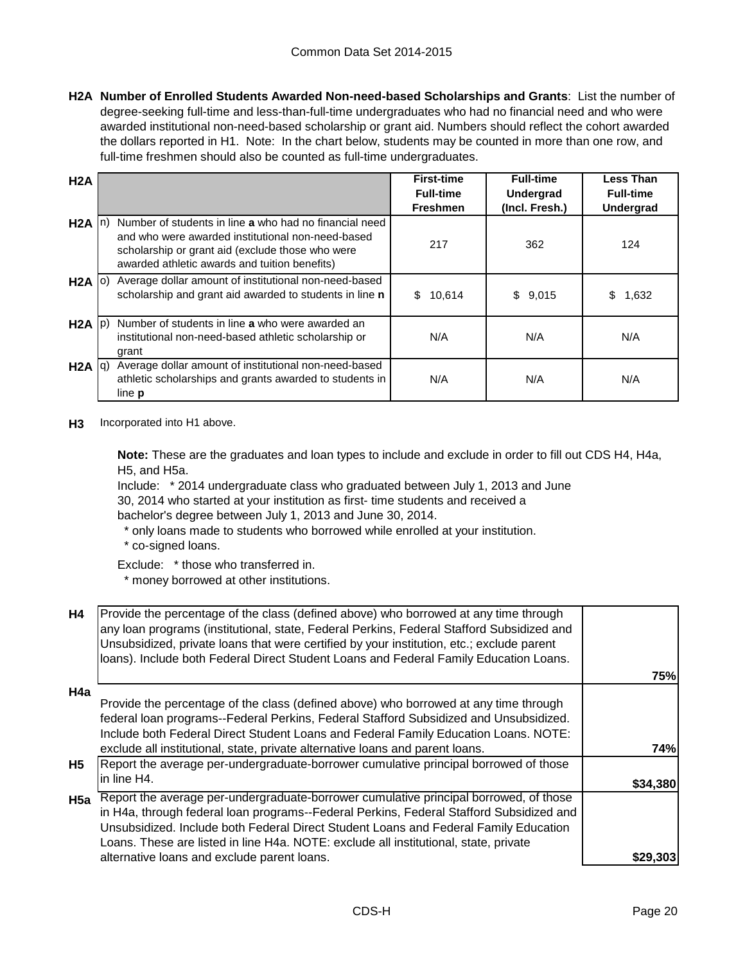**H2A Number of Enrolled Students Awarded Non-need-based Scholarships and Grants**: List the number of degree-seeking full-time and less-than-full-time undergraduates who had no financial need and who were awarded institutional non-need-based scholarship or grant aid. Numbers should reflect the cohort awarded the dollars reported in H1. Note: In the chart below, students may be counted in more than one row, and full-time freshmen should also be counted as full-time undergraduates.

| H2A               |                                                                                                                                                                                                                  | <b>First-time</b><br><b>Full-time</b> | <b>Full-time</b><br><b>Undergrad</b> | <b>Less Than</b><br><b>Full-time</b> |
|-------------------|------------------------------------------------------------------------------------------------------------------------------------------------------------------------------------------------------------------|---------------------------------------|--------------------------------------|--------------------------------------|
|                   |                                                                                                                                                                                                                  | <b>Freshmen</b>                       | (Incl. Fresh.)                       | <b>Undergrad</b>                     |
| $H2A \mid n$      | Number of students in line a who had no financial need<br>and who were awarded institutional non-need-based<br>scholarship or grant aid (exclude those who were<br>awarded athletic awards and tuition benefits) | 217                                   | 362                                  | 124                                  |
| H2A   0)          | Average dollar amount of institutional non-need-based<br>scholarship and grant aid awarded to students in line n                                                                                                 | 10,614<br>\$.                         | \$9,015                              | 1,632                                |
| $H2A$ $ p\rangle$ | Number of students in line a who were awarded an<br>institutional non-need-based athletic scholarship or<br>grant                                                                                                | N/A                                   | N/A                                  | N/A                                  |
| $H2A  q\rangle$   | Average dollar amount of institutional non-need-based<br>athletic scholarships and grants awarded to students in<br>line <b>p</b>                                                                                | N/A                                   | N/A                                  | N/A                                  |

**H3** Incorporated into H1 above.

**Note:** These are the graduates and loan types to include and exclude in order to fill out CDS H4, H4a, H5, and H5a.

Include: \* 2014 undergraduate class who graduated between July 1, 2013 and June

30, 2014 who started at your institution as first- time students and received a

bachelor's degree between July 1, 2013 and June 30, 2014.

- \* only loans made to students who borrowed while enrolled at your institution.
- \* co-signed loans.

Exclude: \* those who transferred in.

\* money borrowed at other institutions.

| <b>H4</b>        | Provide the percentage of the class (defined above) who borrowed at any time through<br>any loan programs (institutional, state, Federal Perkins, Federal Stafford Subsidized and<br>Unsubsidized, private loans that were certified by your institution, etc.; exclude parent<br>loans). Include both Federal Direct Student Loans and Federal Family Education Loans. | 75%        |
|------------------|-------------------------------------------------------------------------------------------------------------------------------------------------------------------------------------------------------------------------------------------------------------------------------------------------------------------------------------------------------------------------|------------|
| H <sub>4</sub> a |                                                                                                                                                                                                                                                                                                                                                                         |            |
|                  | Provide the percentage of the class (defined above) who borrowed at any time through                                                                                                                                                                                                                                                                                    |            |
|                  | federal loan programs--Federal Perkins, Federal Stafford Subsidized and Unsubsidized.                                                                                                                                                                                                                                                                                   |            |
|                  | Include both Federal Direct Student Loans and Federal Family Education Loans. NOTE:                                                                                                                                                                                                                                                                                     |            |
|                  | exclude all institutional, state, private alternative loans and parent loans.                                                                                                                                                                                                                                                                                           | <b>74%</b> |
| H5               | Report the average per-undergraduate-borrower cumulative principal borrowed of those                                                                                                                                                                                                                                                                                    |            |
|                  | lin line H4.                                                                                                                                                                                                                                                                                                                                                            | \$34,380   |
| H <sub>5a</sub>  | Report the average per-undergraduate-borrower cumulative principal borrowed, of those                                                                                                                                                                                                                                                                                   |            |
|                  | in H4a, through federal loan programs--Federal Perkins, Federal Stafford Subsidized and                                                                                                                                                                                                                                                                                 |            |
|                  | Unsubsidized. Include both Federal Direct Student Loans and Federal Family Education                                                                                                                                                                                                                                                                                    |            |
|                  | Loans. These are listed in line H4a. NOTE: exclude all institutional, state, private                                                                                                                                                                                                                                                                                    |            |
|                  | alternative loans and exclude parent loans.                                                                                                                                                                                                                                                                                                                             | \$29,303   |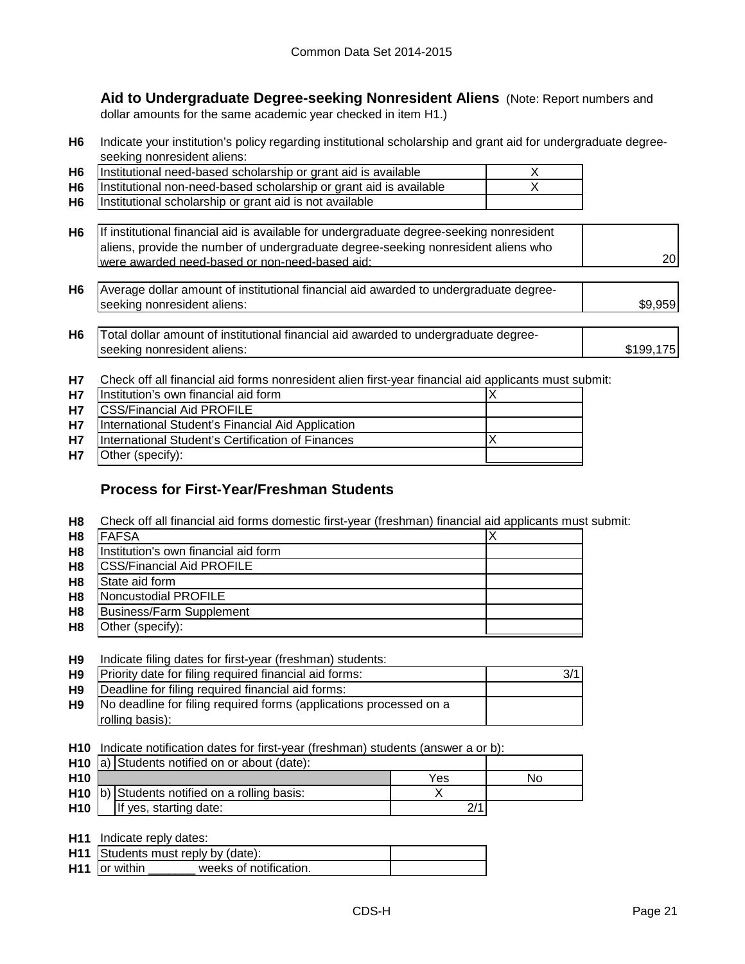**Aid to Undergraduate Degree-seeking Nonresident Aliens** (Note: Report numbers and dollar amounts for the same academic year checked in item H1.)

**H6** Indicate your institution's policy regarding institutional scholarship and grant aid for undergraduate degreeseeking nonresident aliens:

| H <sub>6</sub> | Institutional need-based scholarship or grant aid is available          |  |
|----------------|-------------------------------------------------------------------------|--|
|                | H6   Institutional non-need-based scholarship or grant aid is available |  |
| H6             | Institutional scholarship or grant aid is not available                 |  |

| H6   If institutional financial aid is available for undergraduate degree-seeking nonresident |                 |
|-----------------------------------------------------------------------------------------------|-----------------|
| aliens, provide the number of undergraduate degree-seeking nonresident aliens who             |                 |
| Iwere awarded need-based or non-need-based aid:                                               | 20 <sub>l</sub> |

- **H6** \$9,959 Average dollar amount of institutional financial aid awarded to undergraduate degreeseeking nonresident aliens:
- **H6** \$199,175 Total dollar amount of institutional financial aid awarded to undergraduate degreeseeking nonresident aliens:
- **H7** Check off all financial aid forms nonresident alien first-year financial aid applicants must submit:

| <b>H7</b> | Institution's own financial aid form              |  |
|-----------|---------------------------------------------------|--|
| <b>H7</b> | <b>CSS/Financial Aid PROFILE</b>                  |  |
| <b>H7</b> | International Student's Financial Aid Application |  |
| <b>H7</b> | International Student's Certification of Finances |  |
| <b>H7</b> | Other (specify):                                  |  |

## **Process for First-Year/Freshman Students**

**H8** Check off all financial aid forms domestic first-year (freshman) financial aid applicants must submit:

| H <sub>8</sub> | <b>FAFSA</b>                         |  |
|----------------|--------------------------------------|--|
| H <sub>8</sub> | Institution's own financial aid form |  |
| H <sub>8</sub> | <b>CSS/Financial Aid PROFILE</b>     |  |
| H <sub>8</sub> | State aid form                       |  |
| H <sub>8</sub> | Noncustodial PROFILE                 |  |
| H <sub>8</sub> | Business/Farm Supplement             |  |
| H <sub>8</sub> | Other (specify):                     |  |

#### **H9** Indicate filing dates for first-year (freshman) students:

| H9        | Priority date for filing required financial aid forms:             |  |
|-----------|--------------------------------------------------------------------|--|
| <b>H9</b> | Deadline for filing required financial aid forms:                  |  |
| H9        | No deadline for filing required forms (applications processed on a |  |
|           | rolling basis):                                                    |  |

**H10** Indicate notification dates for first-year (freshman) students (answer a or b):

|                 | <b>H10</b> $ a\rangle$ Students notified on or about (date): |                                              |     |    |
|-----------------|--------------------------------------------------------------|----------------------------------------------|-----|----|
| H <sub>10</sub> |                                                              |                                              | Yes | N٥ |
|                 |                                                              | H10 b) Students notified on a rolling basis: |     |    |
| H10             |                                                              | If yes, starting date:                       |     |    |

**H11** Indicate reply dates:

|                 | H11 Students must reply by (date): |  |
|-----------------|------------------------------------|--|
| $H11$ or within | weeks of notification.             |  |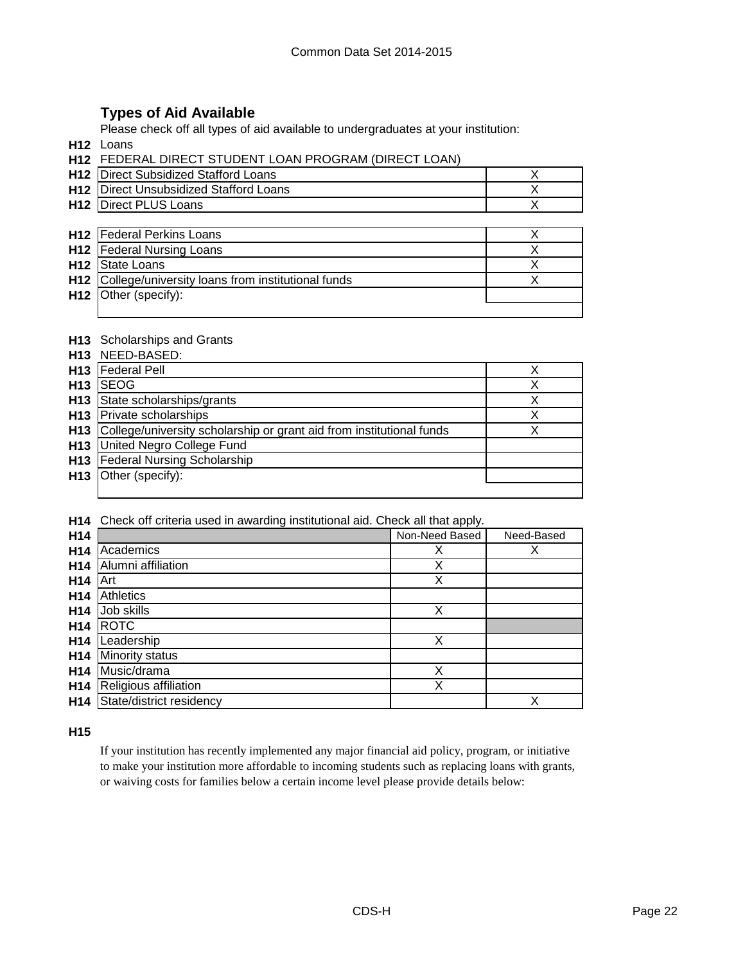## **Types of Aid Available**

Please check off all types of aid available to undergraduates at your institution:

**H12** Loans

| <b>H12 FEDERAL DIRECT STUDENT LOAN PROGRAM (DIRECT LOAN)</b> |  |
|--------------------------------------------------------------|--|
|                                                              |  |

| <b>H12</b> Direct Subsidized Stafford Loans   |  |
|-----------------------------------------------|--|
| <b>H12</b> Direct Unsubsidized Stafford Loans |  |
| <b>H12 Direct PLUS Loans</b>                  |  |

| <b>H12</b> Federal Perkins Loans                      |  |
|-------------------------------------------------------|--|
| <b>H12</b> Federal Nursing Loans                      |  |
| H <sub>12</sub> State Loans                           |  |
| H12 College/university loans from institutional funds |  |
| H <sub>12</sub> Other (specify):                      |  |
|                                                       |  |

#### **H13** Scholarships and Grants

|                 | <b>ITIS</b> OCTIONATIONS AND OTATIO                                  |   |
|-----------------|----------------------------------------------------------------------|---|
| H <sub>13</sub> | NEED-BASED:                                                          |   |
| H <sub>13</sub> | <b>Federal Pell</b>                                                  |   |
| H <sub>13</sub> | <b>ISEOG</b>                                                         | Х |
|                 | H13 State scholarships/grants                                        | Х |
| H13             | <b>Private scholarships</b>                                          | Х |
| H13             | College/university scholarship or grant aid from institutional funds |   |
| H13             | United Negro College Fund                                            |   |
| H13             | <b>Federal Nursing Scholarship</b>                                   |   |
|                 | $H13$ Other (specify):                                               |   |
|                 |                                                                      |   |

**H14** Check off criteria used in awarding institutional aid. Check all that apply.

| H14             |                          | Non-Need Based | Need-Based |
|-----------------|--------------------------|----------------|------------|
| H <sub>14</sub> | Academics                | х              | х          |
| H <sub>14</sub> | Alumni affiliation       | Χ              |            |
| H <sub>14</sub> | Art                      | Χ              |            |
| H <sub>14</sub> | <b>Athletics</b>         |                |            |
| H <sub>14</sub> | Job skills               | X              |            |
| H <sub>14</sub> | <b>ROTC</b>              |                |            |
| H <sub>14</sub> | Leadership               | X              |            |
| H <sub>14</sub> | Minority status          |                |            |
| H <sub>14</sub> | Music/drama              | Χ              |            |
| H <sub>14</sub> | Religious affiliation    | Χ              |            |
| H <sub>14</sub> | State/district residency |                | Χ          |

#### **H15**

If your institution has recently implemented any major financial aid policy, program, or initiative to make your institution more affordable to incoming students such as replacing loans with grants, or waiving costs for families below a certain income level please provide details below: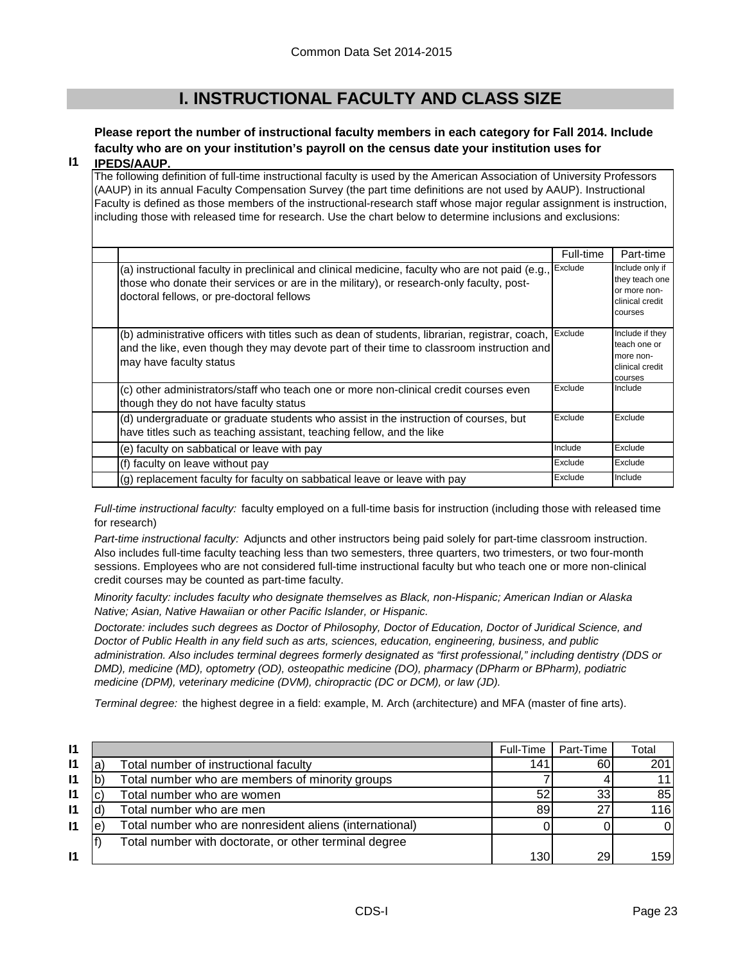# **I. INSTRUCTIONAL FACULTY AND CLASS SIZE**

# **Please report the number of instructional faculty members in each category for Fall 2014. Include faculty who are on your institution's payroll on the census date your institution uses for**

#### **I1 IPEDS/AAUP.**

The following definition of full-time instructional faculty is used by the American Association of University Professors (AAUP) in its annual Faculty Compensation Survey (the part time definitions are not used by AAUP). Instructional Faculty is defined as those members of the instructional-research staff whose major regular assignment is instruction, including those with released time for research. Use the chart below to determine inclusions and exclusions:

|                                                                                                                                                                                                                                          | Full-time | Part-time                                                                       |
|------------------------------------------------------------------------------------------------------------------------------------------------------------------------------------------------------------------------------------------|-----------|---------------------------------------------------------------------------------|
| (a) instructional faculty in preclinical and clinical medicine, faculty who are not paid (e.g.,<br>those who donate their services or are in the military), or research-only faculty, post-<br>doctoral fellows, or pre-doctoral fellows | Exclude   | Include only if<br>they teach one<br>or more non-<br>clinical credit<br>courses |
| (b) administrative officers with titles such as dean of students, librarian, registrar, coach,<br>and the like, even though they may devote part of their time to classroom instruction and<br>may have faculty status                   | Exclude   | Include if they<br>teach one or<br>more non-<br>clinical credit<br>courses      |
| (c) other administrators/staff who teach one or more non-clinical credit courses even<br>though they do not have faculty status                                                                                                          | Exclude   | Include                                                                         |
| (d) undergraduate or graduate students who assist in the instruction of courses, but<br>have titles such as teaching assistant, teaching fellow, and the like                                                                            | Exclude   | Exclude                                                                         |
| (e) faculty on sabbatical or leave with pay                                                                                                                                                                                              | Include   | Exclude                                                                         |
| (f) faculty on leave without pay                                                                                                                                                                                                         | Exclude   | Exclude                                                                         |
| (g) replacement faculty for faculty on sabbatical leave or leave with pay                                                                                                                                                                | Exclude   | Include                                                                         |

*Full-time instructional faculty:* faculty employed on a full-time basis for instruction (including those with released time for research)

*Part-time instructional faculty:* Adjuncts and other instructors being paid solely for part-time classroom instruction. Also includes full-time faculty teaching less than two semesters, three quarters, two trimesters, or two four-month sessions. Employees who are not considered full-time instructional faculty but who teach one or more non-clinical credit courses may be counted as part-time faculty.

*Minority faculty: includes faculty who designate themselves as Black, non-Hispanic; American Indian or Alaska Native; Asian, Native Hawaiian or other Pacific Islander, or Hispanic.* 

*Doctorate: includes such degrees as Doctor of Philosophy, Doctor of Education, Doctor of Juridical Science, and Doctor of Public Health in any field such as arts, sciences, education, engineering, business, and public administration. Also includes terminal degrees formerly designated as "first professional," including dentistry (DDS or DMD), medicine (MD), optometry (OD), osteopathic medicine (DO), pharmacy (DPharm or BPharm), podiatric medicine (DPM), veterinary medicine (DVM), chiropractic (DC or DCM), or law (JD).*

*Terminal degree:* the highest degree in a field: example, M. Arch (architecture) and MFA (master of fine arts).

| $\mathsf{I}$ |   |                                                         | Full-Time | Part-Time | Total |
|--------------|---|---------------------------------------------------------|-----------|-----------|-------|
| $\mathsf{I}$ | a | Total number of instructional faculty                   | 141       | 60        | 201   |
| $\mathbf{I}$ |   | Total number who are members of minority groups         |           |           | 11 I  |
| $\mathbf{I}$ |   | Total number who are women                              | 52        | 33        | 85 I  |
| 11           |   | Total number who are men                                | 89        | 27        | 116   |
| $\mathbf{I}$ | e | Total number who are nonresident aliens (international) |           |           |       |
|              |   | Total number with doctorate, or other terminal degree   |           |           |       |
| $\mathsf{I}$ |   |                                                         | 130       | 29        | 1591  |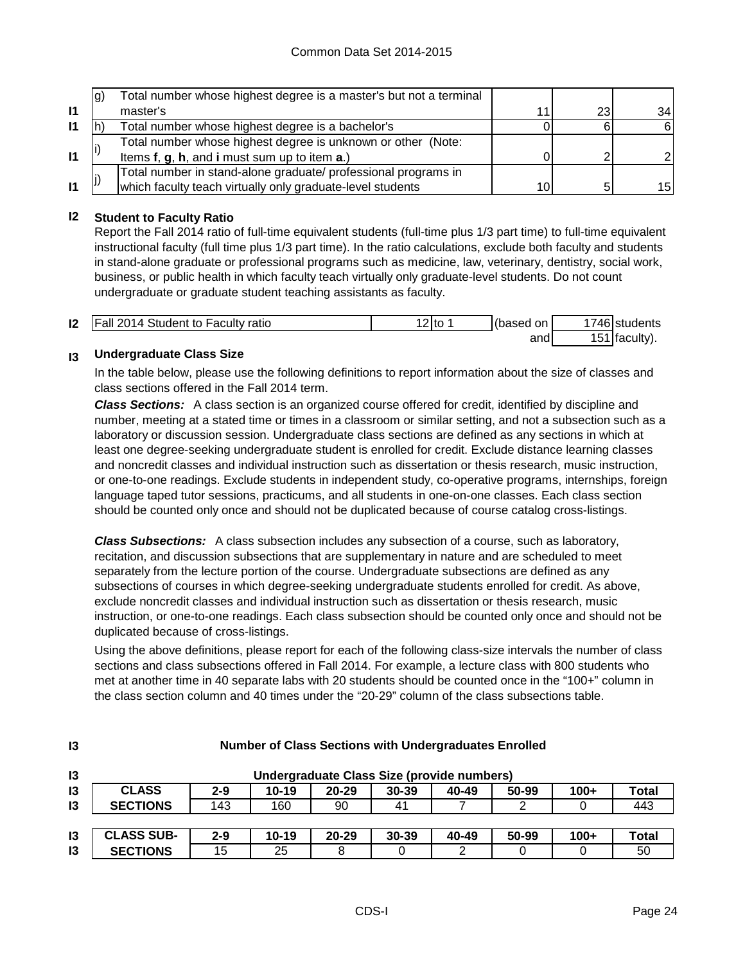|              | lg) | Total number whose highest degree is a master's but not a terminal |     |    |                 |
|--------------|-----|--------------------------------------------------------------------|-----|----|-----------------|
| $\mathbf{I}$ |     | master's                                                           | -14 | 23 | 34 <sub>1</sub> |
| 11           |     | Total number whose highest degree is a bachelor's                  |     | ี  | 61              |
|              |     | Total number whose highest degree is unknown or other (Note:       |     |    |                 |
| $\mathbf{I}$ |     | Items f, g, h, and i must sum up to item a.)                       |     |    |                 |
|              |     | Total number in stand-alone graduate/ professional programs in     |     |    |                 |
| $\mathbf{I}$ |     | which faculty teach virtually only graduate-level students         | 10  | 5  | 15              |

### **I2 Student to Faculty Ratio**

Report the Fall 2014 ratio of full-time equivalent students (full-time plus 1/3 part time) to full-time equivalent instructional faculty (full time plus 1/3 part time). In the ratio calculations, exclude both faculty and students in stand-alone graduate or professional programs such as medicine, law, veterinary, dentistry, social work, business, or public health in which faculty teach virtually only graduate-level students. Do not count undergraduate or graduate student teaching assistants as faculty.

| <b>12</b>   Fall 2014 Student to Faculty ratio | '2Ito | (based on | <sup>1</sup> 746 students |
|------------------------------------------------|-------|-----------|---------------------------|
|                                                |       | and       | 151 $ $ faculty).         |

#### **I3 Undergraduate Class Size**

**I3**

In the table below, please use the following definitions to report information about the size of classes and class sections offered in the Fall 2014 term.

*Class Sections:* A class section is an organized course offered for credit, identified by discipline and number, meeting at a stated time or times in a classroom or similar setting, and not a subsection such as a laboratory or discussion session. Undergraduate class sections are defined as any sections in which at least one degree-seeking undergraduate student is enrolled for credit. Exclude distance learning classes and noncredit classes and individual instruction such as dissertation or thesis research, music instruction, or one-to-one readings. Exclude students in independent study, co-operative programs, internships, foreign language taped tutor sessions, practicums, and all students in one-on-one classes. Each class section should be counted only once and should not be duplicated because of course catalog cross-listings.

*Class Subsections:* A class subsection includes any subsection of a course, such as laboratory, recitation, and discussion subsections that are supplementary in nature and are scheduled to meet separately from the lecture portion of the course. Undergraduate subsections are defined as any subsections of courses in which degree-seeking undergraduate students enrolled for credit. As above, exclude noncredit classes and individual instruction such as dissertation or thesis research, music instruction, or one-to-one readings. Each class subsection should be counted only once and should not be duplicated because of cross-listings.

Using the above definitions, please report for each of the following class-size intervals the number of class sections and class subsections offered in Fall 2014. For example, a lecture class with 800 students who met at another time in 40 separate labs with 20 students should be counted once in the "100+" column in the class section column and 40 times under the "20-29" column of the class subsections table.

| $\mathsf{I}3$ | Undergraduate Class Size (provide numbers) |         |           |           |           |       |       |        |       |
|---------------|--------------------------------------------|---------|-----------|-----------|-----------|-------|-------|--------|-------|
| 13            | <b>CLASS</b>                               | $2 - 9$ | $10 - 19$ | $20 - 29$ | $30 - 39$ | 40-49 | 50-99 | $100+$ | Total |
| 13            | <b>SECTIONS</b>                            | 143     | 160       | 90        | 41        |       |       |        | 443   |
|               |                                            |         |           |           |           |       |       |        |       |
| 13            | <b>CLASS SUB-</b>                          | $2 - 9$ | $10 - 19$ | $20 - 29$ | $30 - 39$ | 40-49 | 50-99 | $100+$ | Total |
| $\mathsf{I}3$ | <b>SECTIONS</b>                            | 15      | 25        |           |           |       |       |        | 50    |

#### **Number of Class Sections with Undergraduates Enrolled**